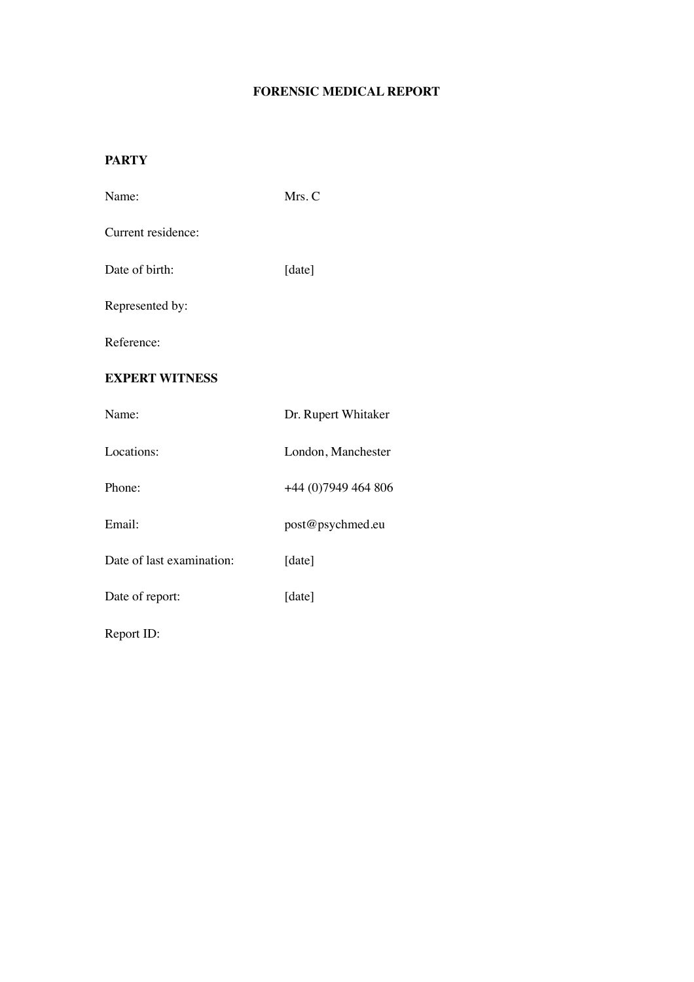# **FORENSIC MEDICAL REPORT**

# **PARTY**

| Name:                     | Mrs. C               |
|---------------------------|----------------------|
| Current residence:        |                      |
| Date of birth:            | [date]               |
| Represented by:           |                      |
| Reference:                |                      |
| <b>EXPERT WITNESS</b>     |                      |
| Name:                     | Dr. Rupert Whitaker  |
| Locations:                | London, Manchester   |
| Phone:                    | +44 (0) 7949 464 806 |
| Email:                    | post@psychmed.eu     |
| Date of last examination: | [date]               |
| Date of report:           | [date]               |
| Report ID:                |                      |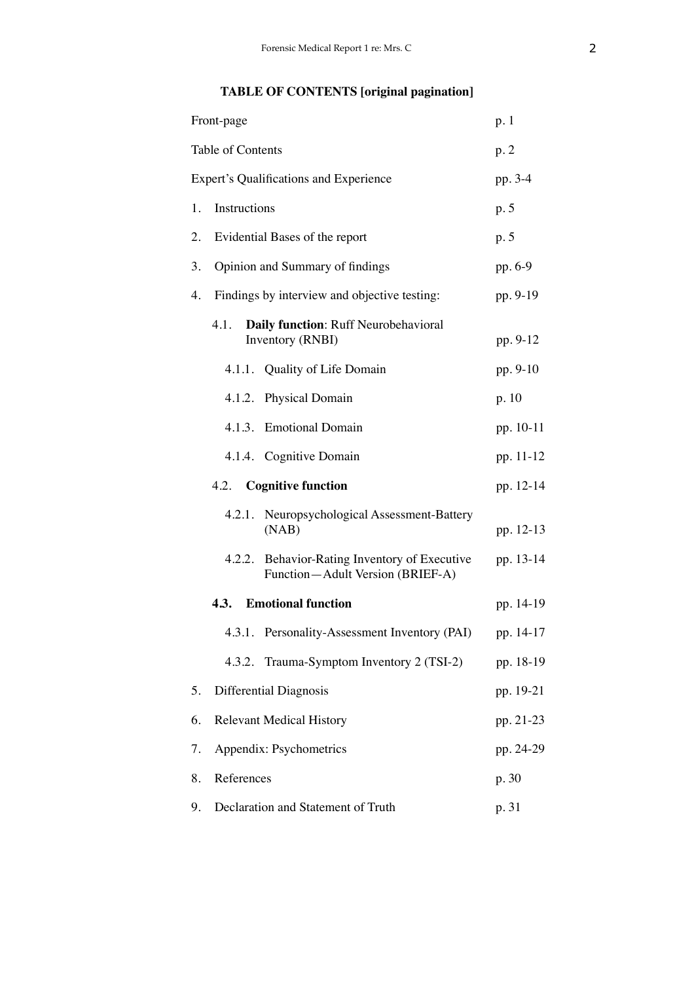# **TABLE OF CONTENTS [original pagination]**

| Front-page                                    |                                                          |                                                                            | p. 1      |
|-----------------------------------------------|----------------------------------------------------------|----------------------------------------------------------------------------|-----------|
| Table of Contents                             |                                                          | p.2                                                                        |           |
| <b>Expert's Qualifications and Experience</b> |                                                          | pp. 3-4                                                                    |           |
| 1.                                            | Instructions                                             |                                                                            | p. 5      |
| 2.                                            | Evidential Bases of the report                           |                                                                            | p. 5      |
| 3.                                            | Opinion and Summary of findings<br>pp. 6-9               |                                                                            |           |
| 4.                                            | Findings by interview and objective testing:<br>pp. 9-19 |                                                                            |           |
|                                               | 4.1.                                                     | Daily function: Ruff Neurobehavioral<br>Inventory (RNBI)                   | pp. 9-12  |
|                                               |                                                          | 4.1.1. Quality of Life Domain                                              | pp. 9-10  |
|                                               |                                                          | 4.1.2. Physical Domain                                                     | p. 10     |
|                                               |                                                          | 4.1.3. Emotional Domain                                                    | pp. 10-11 |
|                                               |                                                          | 4.1.4. Cognitive Domain                                                    | pp. 11-12 |
|                                               |                                                          | 4.2. Cognitive function                                                    | pp. 12-14 |
|                                               | 4.2.1.                                                   | Neuropsychological Assessment-Battery<br>(NAB)                             | pp. 12-13 |
|                                               | 4.2.2.                                                   | Behavior-Rating Inventory of Executive<br>Function-Adult Version (BRIEF-A) | pp. 13-14 |
|                                               | 4.3.                                                     | <b>Emotional function</b>                                                  | pp. 14-19 |
|                                               |                                                          | 4.3.1. Personality-Assessment Inventory (PAI)                              | pp. 14-17 |
|                                               |                                                          | 4.3.2. Trauma-Symptom Inventory 2 (TSI-2)                                  | pp. 18-19 |
| 5.                                            | Differential Diagnosis                                   |                                                                            | pp. 19-21 |
| 6.                                            | <b>Relevant Medical History</b><br>pp. 21-23             |                                                                            |           |
| 7.                                            | Appendix: Psychometrics<br>pp. 24-29                     |                                                                            |           |
| 8.                                            | References<br>p. 30                                      |                                                                            |           |
| 9.                                            | Declaration and Statement of Truth<br>p. 31              |                                                                            |           |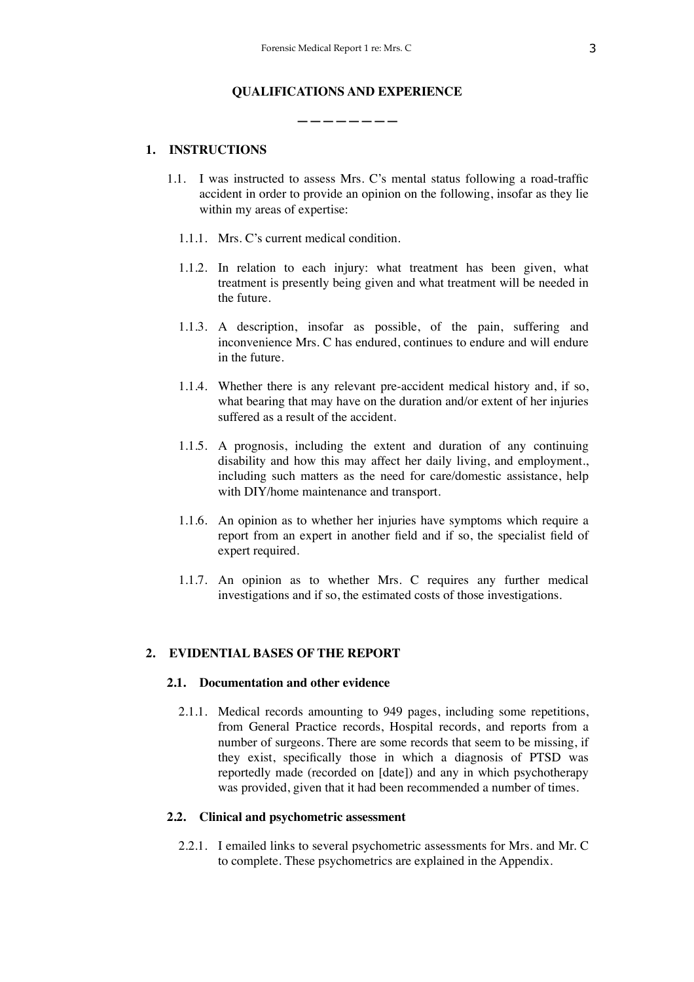### **QUALIFICATIONS AND EXPERIENCE**

**————————**

# **1. INSTRUCTIONS**

- 1.1. I was instructed to assess Mrs. C's mental status following a road-traffic accident in order to provide an opinion on the following, insofar as they lie within my areas of expertise:
	- 1.1.1. Mrs. C's current medical condition.
	- 1.1.2. In relation to each injury: what treatment has been given, what treatment is presently being given and what treatment will be needed in the future.
	- 1.1.3. A description, insofar as possible, of the pain, suffering and inconvenience Mrs. C has endured, continues to endure and will endure in the future.
	- 1.1.4. Whether there is any relevant pre-accident medical history and, if so, what bearing that may have on the duration and/or extent of her injuries suffered as a result of the accident.
	- 1.1.5. A prognosis, including the extent and duration of any continuing disability and how this may affect her daily living, and employment., including such matters as the need for care/domestic assistance, help with DIY/home maintenance and transport.
	- 1.1.6. An opinion as to whether her injuries have symptoms which require a report from an expert in another field and if so, the specialist field of expert required.
	- 1.1.7. An opinion as to whether Mrs. C requires any further medical investigations and if so, the estimated costs of those investigations.

#### **2. EVIDENTIAL BASES OF THE REPORT**

# **2.1. Documentation and other evidence**

2.1.1. Medical records amounting to 949 pages, including some repetitions, from General Practice records, Hospital records, and reports from a number of surgeons. There are some records that seem to be missing, if they exist, specifically those in which a diagnosis of PTSD was reportedly made (recorded on [date]) and any in which psychotherapy was provided, given that it had been recommended a number of times.

## **2.2. Clinical and psychometric assessment**

2.2.1. I emailed links to several psychometric assessments for Mrs. and Mr. C to complete. These psychometrics are explained in the Appendix.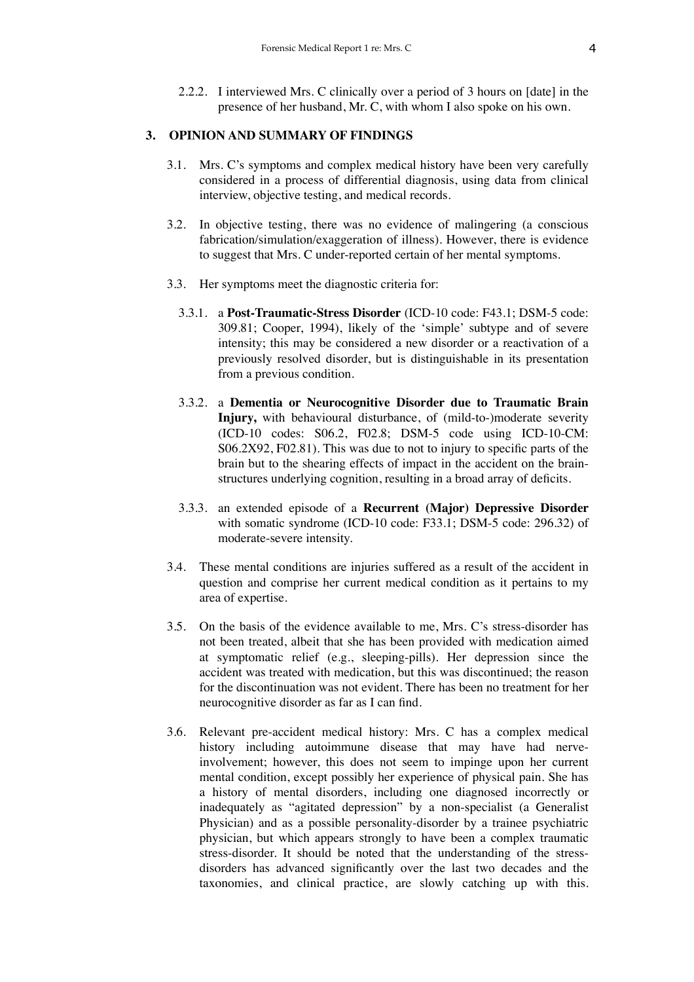2.2.2. I interviewed Mrs. C clinically over a period of 3 hours on [date] in the presence of her husband, Mr. C, with whom I also spoke on his own.

# **3. OPINION AND SUMMARY OF FINDINGS**

- 3.1. Mrs. C's symptoms and complex medical history have been very carefully considered in a process of differential diagnosis, using data from clinical interview, objective testing, and medical records.
- 3.2. In objective testing, there was no evidence of malingering (a conscious fabrication/simulation/exaggeration of illness). However, there is evidence to suggest that Mrs. C under-reported certain of her mental symptoms.
- 3.3. Her symptoms meet the diagnostic criteria for:
	- 3.3.1. a **Post-Traumatic-Stress Disorder** (ICD-10 code: F43.1; DSM-5 code: 309.81; Cooper, 1994), likely of the 'simple' subtype and of severe intensity; this may be considered a new disorder or a reactivation of a previously resolved disorder, but is distinguishable in its presentation from a previous condition.
	- 3.3.2. a **Dementia or Neurocognitive Disorder due to Traumatic Brain Injury,** with behavioural disturbance, of (mild-to-)moderate severity (ICD-10 codes: S06.2, F02.8; DSM-5 code using ICD-10-CM: S06.2X92, F02.81). This was due to not to injury to specific parts of the brain but to the shearing effects of impact in the accident on the brainstructures underlying cognition, resulting in a broad array of deficits.
	- 3.3.3. an extended episode of a **Recurrent (Major) Depressive Disorder**  with somatic syndrome (ICD-10 code: F33.1; DSM-5 code: 296.32) of moderate-severe intensity.
- 3.4. These mental conditions are injuries suffered as a result of the accident in question and comprise her current medical condition as it pertains to my area of expertise.
- 3.5. On the basis of the evidence available to me, Mrs. C's stress-disorder has not been treated, albeit that she has been provided with medication aimed at symptomatic relief (e.g., sleeping-pills). Her depression since the accident was treated with medication, but this was discontinued; the reason for the discontinuation was not evident. There has been no treatment for her neurocognitive disorder as far as I can find.
- 3.6. Relevant pre-accident medical history: Mrs. C has a complex medical history including autoimmune disease that may have had nerveinvolvement; however, this does not seem to impinge upon her current mental condition, except possibly her experience of physical pain. She has a history of mental disorders, including one diagnosed incorrectly or inadequately as "agitated depression" by a non-specialist (a Generalist Physician) and as a possible personality-disorder by a trainee psychiatric physician, but which appears strongly to have been a complex traumatic stress-disorder. It should be noted that the understanding of the stressdisorders has advanced significantly over the last two decades and the taxonomies, and clinical practice, are slowly catching up with this.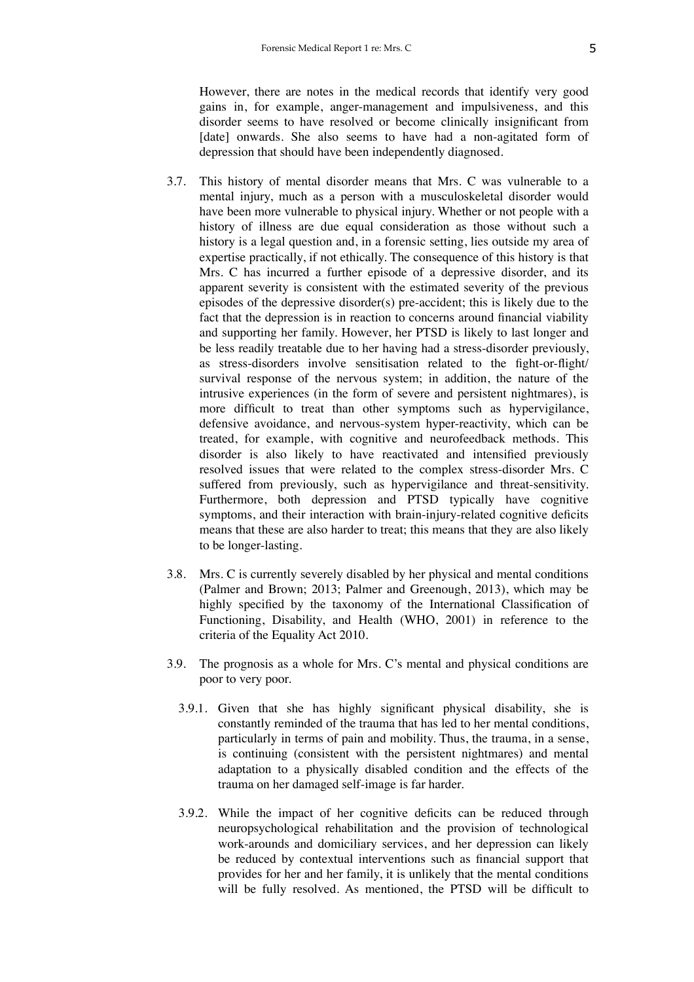However, there are notes in the medical records that identify very good gains in, for example, anger-management and impulsiveness, and this disorder seems to have resolved or become clinically insignificant from [date] onwards. She also seems to have had a non-agitated form of depression that should have been independently diagnosed.

- 3.7. This history of mental disorder means that Mrs. C was vulnerable to a mental injury, much as a person with a musculoskeletal disorder would have been more vulnerable to physical injury. Whether or not people with a history of illness are due equal consideration as those without such a history is a legal question and, in a forensic setting, lies outside my area of expertise practically, if not ethically. The consequence of this history is that Mrs. C has incurred a further episode of a depressive disorder, and its apparent severity is consistent with the estimated severity of the previous episodes of the depressive disorder(s) pre-accident; this is likely due to the fact that the depression is in reaction to concerns around financial viability and supporting her family. However, her PTSD is likely to last longer and be less readily treatable due to her having had a stress-disorder previously, as stress-disorders involve sensitisation related to the fight-or-flight/ survival response of the nervous system; in addition, the nature of the intrusive experiences (in the form of severe and persistent nightmares), is more difficult to treat than other symptoms such as hypervigilance, defensive avoidance, and nervous-system hyper-reactivity, which can be treated, for example, with cognitive and neurofeedback methods. This disorder is also likely to have reactivated and intensified previously resolved issues that were related to the complex stress-disorder Mrs. C suffered from previously, such as hypervigilance and threat-sensitivity. Furthermore, both depression and PTSD typically have cognitive symptoms, and their interaction with brain-injury-related cognitive deficits means that these are also harder to treat; this means that they are also likely to be longer-lasting.
- 3.8. Mrs. C is currently severely disabled by her physical and mental conditions (Palmer and Brown; 2013; Palmer and Greenough, 2013), which may be highly specified by the taxonomy of the International Classification of Functioning, Disability, and Health (WHO, 2001) in reference to the criteria of the Equality Act 2010.
- 3.9. The prognosis as a whole for Mrs. C's mental and physical conditions are poor to very poor.
	- 3.9.1. Given that she has highly significant physical disability, she is constantly reminded of the trauma that has led to her mental conditions, particularly in terms of pain and mobility. Thus, the trauma, in a sense, is continuing (consistent with the persistent nightmares) and mental adaptation to a physically disabled condition and the effects of the trauma on her damaged self-image is far harder.
	- 3.9.2. While the impact of her cognitive deficits can be reduced through neuropsychological rehabilitation and the provision of technological work-arounds and domiciliary services, and her depression can likely be reduced by contextual interventions such as financial support that provides for her and her family, it is unlikely that the mental conditions will be fully resolved. As mentioned, the PTSD will be difficult to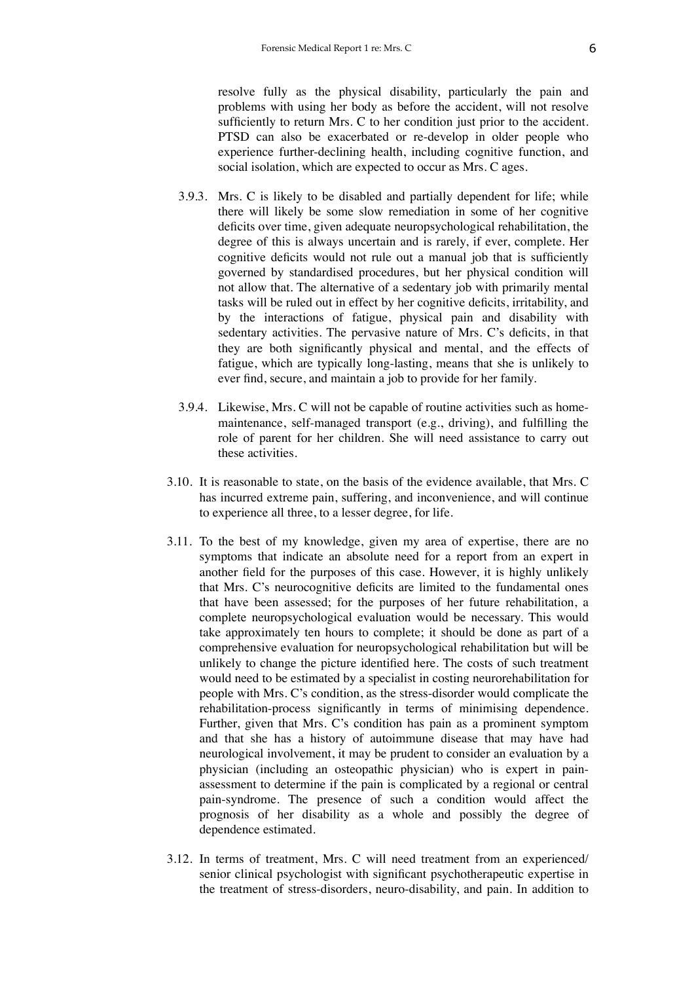resolve fully as the physical disability, particularly the pain and problems with using her body as before the accident, will not resolve sufficiently to return Mrs. C to her condition just prior to the accident. PTSD can also be exacerbated or re-develop in older people who experience further-declining health, including cognitive function, and social isolation, which are expected to occur as Mrs. C ages.

- 3.9.3. Mrs. C is likely to be disabled and partially dependent for life; while there will likely be some slow remediation in some of her cognitive deficits over time, given adequate neuropsychological rehabilitation, the degree of this is always uncertain and is rarely, if ever, complete. Her cognitive deficits would not rule out a manual job that is sufficiently governed by standardised procedures, but her physical condition will not allow that. The alternative of a sedentary job with primarily mental tasks will be ruled out in effect by her cognitive deficits, irritability, and by the interactions of fatigue, physical pain and disability with sedentary activities. The pervasive nature of Mrs. C's deficits, in that they are both significantly physical and mental, and the effects of fatigue, which are typically long-lasting, means that she is unlikely to ever find, secure, and maintain a job to provide for her family.
- 3.9.4. Likewise, Mrs. C will not be capable of routine activities such as homemaintenance, self-managed transport (e.g., driving), and fulfilling the role of parent for her children. She will need assistance to carry out these activities.
- 3.10. It is reasonable to state, on the basis of the evidence available, that Mrs. C has incurred extreme pain, suffering, and inconvenience, and will continue to experience all three, to a lesser degree, for life.
- 3.11. To the best of my knowledge, given my area of expertise, there are no symptoms that indicate an absolute need for a report from an expert in another field for the purposes of this case. However, it is highly unlikely that Mrs. C's neurocognitive deficits are limited to the fundamental ones that have been assessed; for the purposes of her future rehabilitation, a complete neuropsychological evaluation would be necessary. This would take approximately ten hours to complete; it should be done as part of a comprehensive evaluation for neuropsychological rehabilitation but will be unlikely to change the picture identified here. The costs of such treatment would need to be estimated by a specialist in costing neurorehabilitation for people with Mrs. C's condition, as the stress-disorder would complicate the rehabilitation-process significantly in terms of minimising dependence. Further, given that Mrs. C's condition has pain as a prominent symptom and that she has a history of autoimmune disease that may have had neurological involvement, it may be prudent to consider an evaluation by a physician (including an osteopathic physician) who is expert in painassessment to determine if the pain is complicated by a regional or central pain-syndrome. The presence of such a condition would affect the prognosis of her disability as a whole and possibly the degree of dependence estimated.
- 3.12. In terms of treatment, Mrs. C will need treatment from an experienced/ senior clinical psychologist with significant psychotherapeutic expertise in the treatment of stress-disorders, neuro-disability, and pain. In addition to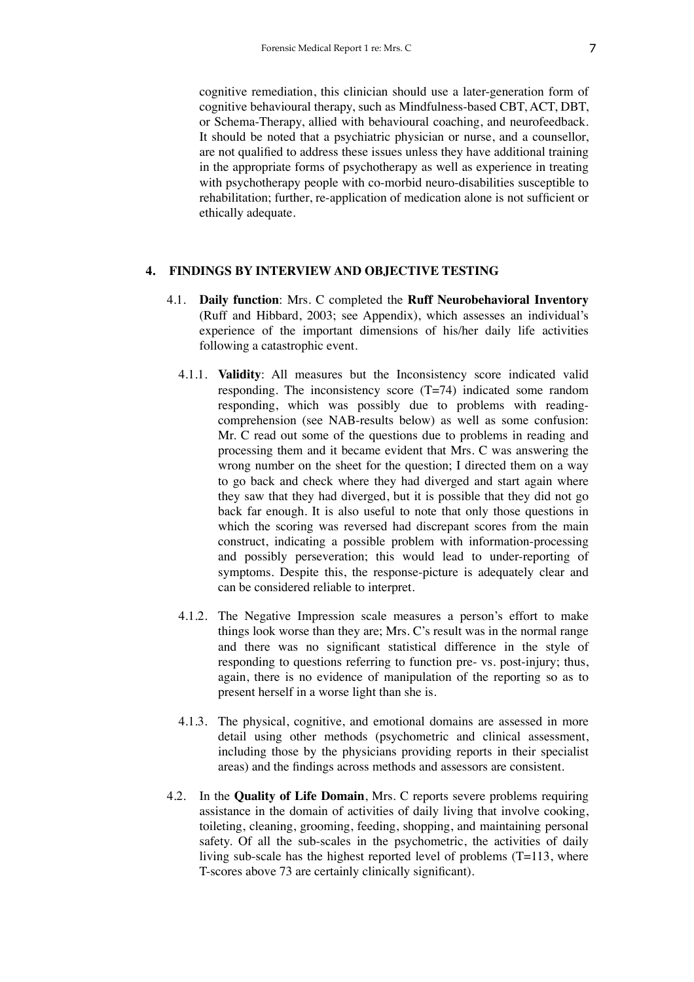cognitive remediation, this clinician should use a later-generation form of cognitive behavioural therapy, such as Mindfulness-based CBT, ACT, DBT, or Schema-Therapy, allied with behavioural coaching, and neurofeedback. It should be noted that a psychiatric physician or nurse, and a counsellor, are not qualified to address these issues unless they have additional training in the appropriate forms of psychotherapy as well as experience in treating with psychotherapy people with co-morbid neuro-disabilities susceptible to rehabilitation; further, re-application of medication alone is not sufficient or ethically adequate.

#### **4. FINDINGS BY INTERVIEW AND OBJECTIVE TESTING**

- 4.1. **Daily function**: Mrs. C completed the **Ruff Neurobehavioral Inventory** (Ruff and Hibbard, 2003; see Appendix), which assesses an individual's experience of the important dimensions of his/her daily life activities following a catastrophic event.
	- 4.1.1. **Validity**: All measures but the Inconsistency score indicated valid responding. The inconsistency score (T=74) indicated some random responding, which was possibly due to problems with readingcomprehension (see NAB-results below) as well as some confusion: Mr. C read out some of the questions due to problems in reading and processing them and it became evident that Mrs. C was answering the wrong number on the sheet for the question; I directed them on a way to go back and check where they had diverged and start again where they saw that they had diverged, but it is possible that they did not go back far enough. It is also useful to note that only those questions in which the scoring was reversed had discrepant scores from the main construct, indicating a possible problem with information-processing and possibly perseveration; this would lead to under-reporting of symptoms. Despite this, the response-picture is adequately clear and can be considered reliable to interpret.
	- 4.1.2. The Negative Impression scale measures a person's effort to make things look worse than they are; Mrs. C's result was in the normal range and there was no significant statistical difference in the style of responding to questions referring to function pre- vs. post-injury; thus, again, there is no evidence of manipulation of the reporting so as to present herself in a worse light than she is.
	- 4.1.3. The physical, cognitive, and emotional domains are assessed in more detail using other methods (psychometric and clinical assessment, including those by the physicians providing reports in their specialist areas) and the findings across methods and assessors are consistent.
- 4.2. In the **Quality of Life Domain**, Mrs. C reports severe problems requiring assistance in the domain of activities of daily living that involve cooking, toileting, cleaning, grooming, feeding, shopping, and maintaining personal safety. Of all the sub-scales in the psychometric, the activities of daily living sub-scale has the highest reported level of problems (T=113, where T-scores above 73 are certainly clinically significant).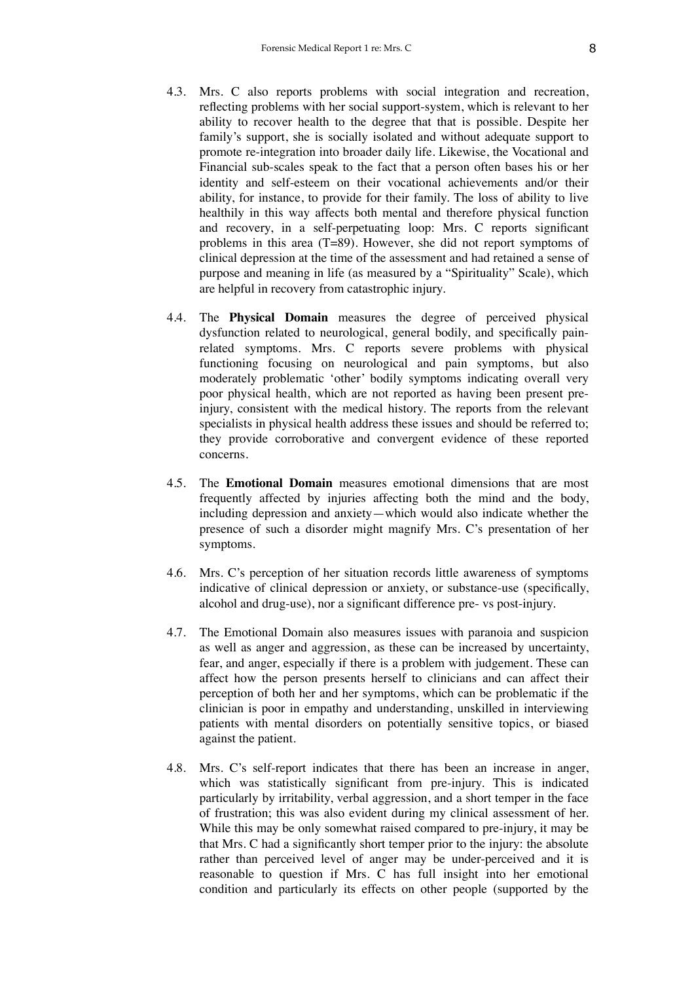- 4.3. Mrs. C also reports problems with social integration and recreation, reflecting problems with her social support-system, which is relevant to her ability to recover health to the degree that that is possible. Despite her family's support, she is socially isolated and without adequate support to promote re-integration into broader daily life. Likewise, the Vocational and Financial sub-scales speak to the fact that a person often bases his or her identity and self-esteem on their vocational achievements and/or their ability, for instance, to provide for their family. The loss of ability to live healthily in this way affects both mental and therefore physical function and recovery, in a self-perpetuating loop: Mrs. C reports significant problems in this area (T=89). However, she did not report symptoms of clinical depression at the time of the assessment and had retained a sense of purpose and meaning in life (as measured by a "Spirituality" Scale), which are helpful in recovery from catastrophic injury.
- 4.4. The **Physical Domain** measures the degree of perceived physical dysfunction related to neurological, general bodily, and specifically painrelated symptoms. Mrs. C reports severe problems with physical functioning focusing on neurological and pain symptoms, but also moderately problematic 'other' bodily symptoms indicating overall very poor physical health, which are not reported as having been present preinjury, consistent with the medical history. The reports from the relevant specialists in physical health address these issues and should be referred to; they provide corroborative and convergent evidence of these reported concerns.
- 4.5. The **Emotional Domain** measures emotional dimensions that are most frequently affected by injuries affecting both the mind and the body, including depression and anxiety—which would also indicate whether the presence of such a disorder might magnify Mrs. C's presentation of her symptoms.
- 4.6. Mrs. C's perception of her situation records little awareness of symptoms indicative of clinical depression or anxiety, or substance-use (specifically, alcohol and drug-use), nor a significant difference pre- vs post-injury.
- 4.7. The Emotional Domain also measures issues with paranoia and suspicion as well as anger and aggression, as these can be increased by uncertainty, fear, and anger, especially if there is a problem with judgement. These can affect how the person presents herself to clinicians and can affect their perception of both her and her symptoms, which can be problematic if the clinician is poor in empathy and understanding, unskilled in interviewing patients with mental disorders on potentially sensitive topics, or biased against the patient.
- 4.8. Mrs. C's self-report indicates that there has been an increase in anger, which was statistically significant from pre-injury. This is indicated particularly by irritability, verbal aggression, and a short temper in the face of frustration; this was also evident during my clinical assessment of her. While this may be only somewhat raised compared to pre-injury, it may be that Mrs. C had a significantly short temper prior to the injury: the absolute rather than perceived level of anger may be under-perceived and it is reasonable to question if Mrs. C has full insight into her emotional condition and particularly its effects on other people (supported by the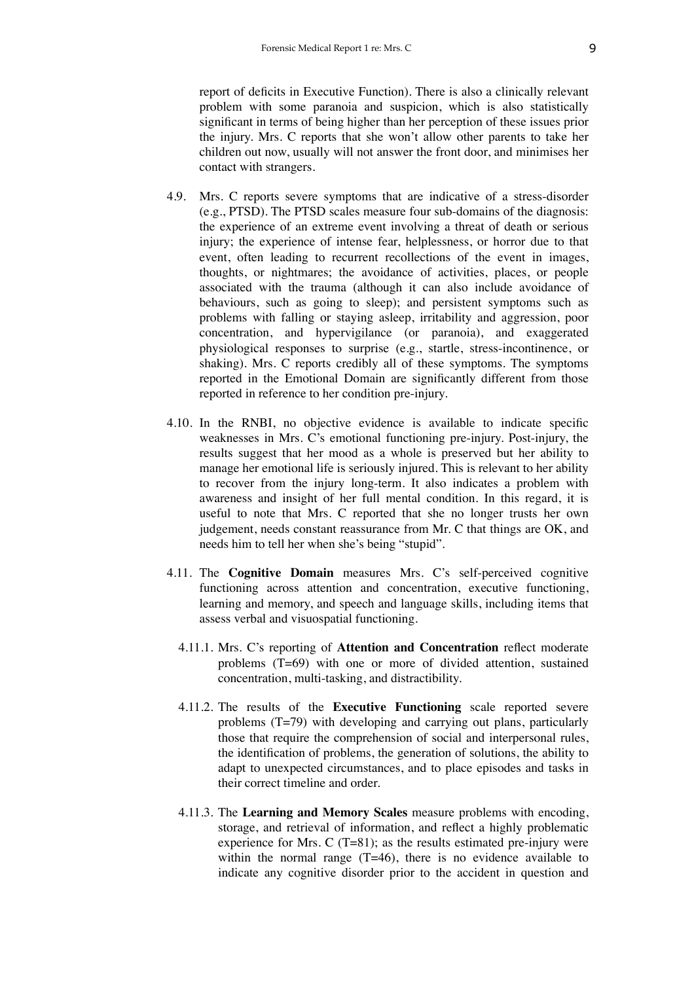report of deficits in Executive Function). There is also a clinically relevant problem with some paranoia and suspicion, which is also statistically significant in terms of being higher than her perception of these issues prior the injury. Mrs. C reports that she won't allow other parents to take her children out now, usually will not answer the front door, and minimises her contact with strangers.

- 4.9. Mrs. C reports severe symptoms that are indicative of a stress-disorder (e.g., PTSD). The PTSD scales measure four sub-domains of the diagnosis: the experience of an extreme event involving a threat of death or serious injury; the experience of intense fear, helplessness, or horror due to that event, often leading to recurrent recollections of the event in images, thoughts, or nightmares; the avoidance of activities, places, or people associated with the trauma (although it can also include avoidance of behaviours, such as going to sleep); and persistent symptoms such as problems with falling or staying asleep, irritability and aggression, poor concentration, and hypervigilance (or paranoia), and exaggerated physiological responses to surprise (e.g., startle, stress-incontinence, or shaking). Mrs. C reports credibly all of these symptoms. The symptoms reported in the Emotional Domain are significantly different from those reported in reference to her condition pre-injury.
- 4.10. In the RNBI, no objective evidence is available to indicate specific weaknesses in Mrs. C's emotional functioning pre-injury. Post-injury, the results suggest that her mood as a whole is preserved but her ability to manage her emotional life is seriously injured. This is relevant to her ability to recover from the injury long-term. It also indicates a problem with awareness and insight of her full mental condition. In this regard, it is useful to note that Mrs. C reported that she no longer trusts her own judgement, needs constant reassurance from Mr. C that things are OK, and needs him to tell her when she's being "stupid".
- 4.11. The **Cognitive Domain** measures Mrs. C's self-perceived cognitive functioning across attention and concentration, executive functioning, learning and memory, and speech and language skills, including items that assess verbal and visuospatial functioning.
	- 4.11.1. Mrs. C's reporting of **Attention and Concentration** reflect moderate problems (T=69) with one or more of divided attention, sustained concentration, multi-tasking, and distractibility.
	- 4.11.2. The results of the **Executive Functioning** scale reported severe problems (T=79) with developing and carrying out plans, particularly those that require the comprehension of social and interpersonal rules, the identification of problems, the generation of solutions, the ability to adapt to unexpected circumstances, and to place episodes and tasks in their correct timeline and order.
	- 4.11.3. The **Learning and Memory Scales** measure problems with encoding, storage, and retrieval of information, and reflect a highly problematic experience for Mrs.  $C(T=81)$ ; as the results estimated pre-injury were within the normal range  $(T=46)$ , there is no evidence available to indicate any cognitive disorder prior to the accident in question and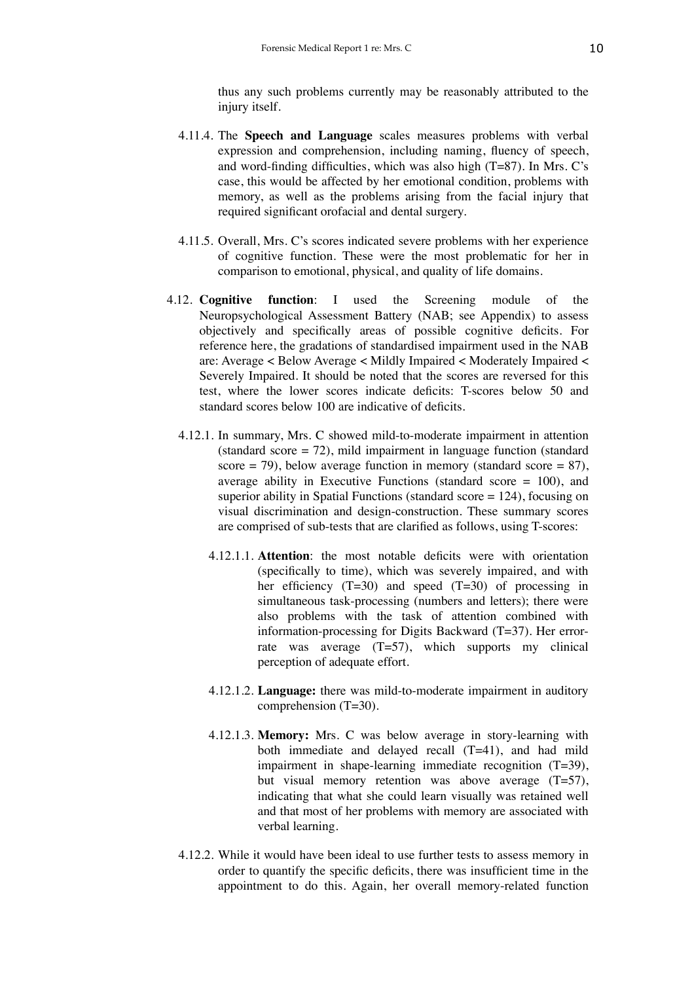thus any such problems currently may be reasonably attributed to the injury itself.

- 4.11.4. The **Speech and Language** scales measures problems with verbal expression and comprehension, including naming, fluency of speech, and word-finding difficulties, which was also high (T=87). In Mrs. C's case, this would be affected by her emotional condition, problems with memory, as well as the problems arising from the facial injury that required significant orofacial and dental surgery.
- 4.11.5. Overall, Mrs. C's scores indicated severe problems with her experience of cognitive function. These were the most problematic for her in comparison to emotional, physical, and quality of life domains.
- 4.12. **Cognitive function**: I used the Screening module of the Neuropsychological Assessment Battery (NAB; see Appendix) to assess objectively and specifically areas of possible cognitive deficits. For reference here, the gradations of standardised impairment used in the NAB are: Average < Below Average < Mildly Impaired < Moderately Impaired < Severely Impaired. It should be noted that the scores are reversed for this test, where the lower scores indicate deficits: T-scores below 50 and standard scores below 100 are indicative of deficits.
	- 4.12.1. In summary, Mrs. C showed mild-to-moderate impairment in attention (standard score = 72), mild impairment in language function (standard score = 79), below average function in memory (standard score = 87), average ability in Executive Functions (standard score  $= 100$ ), and superior ability in Spatial Functions (standard score = 124), focusing on visual discrimination and design-construction. These summary scores are comprised of sub-tests that are clarified as follows, using T-scores:
		- 4.12.1.1. **Attention**: the most notable deficits were with orientation (specifically to time), which was severely impaired, and with her efficiency  $(T=30)$  and speed  $(T=30)$  of processing in simultaneous task-processing (numbers and letters); there were also problems with the task of attention combined with information-processing for Digits Backward (T=37). Her errorrate was average  $(T=57)$ , which supports my clinical perception of adequate effort.
		- 4.12.1.2. **Language:** there was mild-to-moderate impairment in auditory comprehension (T=30).
		- 4.12.1.3. **Memory:** Mrs. C was below average in story-learning with both immediate and delayed recall (T=41), and had mild impairment in shape-learning immediate recognition (T=39), but visual memory retention was above average (T=57), indicating that what she could learn visually was retained well and that most of her problems with memory are associated with verbal learning.
	- 4.12.2. While it would have been ideal to use further tests to assess memory in order to quantify the specific deficits, there was insufficient time in the appointment to do this. Again, her overall memory-related function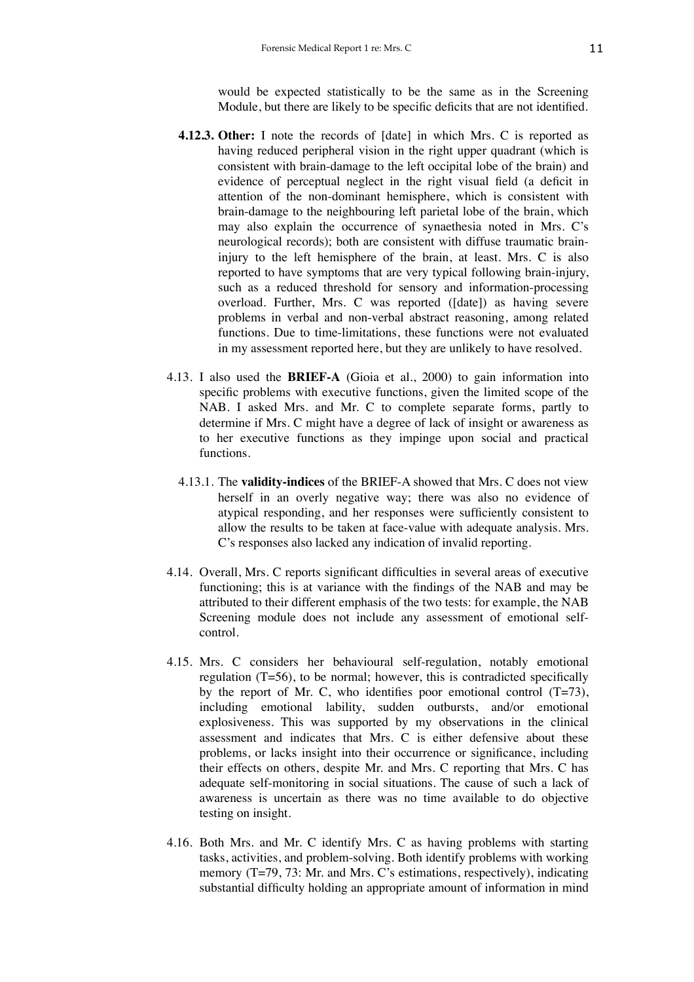would be expected statistically to be the same as in the Screening Module, but there are likely to be specific deficits that are not identified.

- **4.12.3. Other:** I note the records of [date] in which Mrs. C is reported as having reduced peripheral vision in the right upper quadrant (which is consistent with brain-damage to the left occipital lobe of the brain) and evidence of perceptual neglect in the right visual field (a deficit in attention of the non-dominant hemisphere, which is consistent with brain-damage to the neighbouring left parietal lobe of the brain, which may also explain the occurrence of synaethesia noted in Mrs. C's neurological records); both are consistent with diffuse traumatic braininjury to the left hemisphere of the brain, at least. Mrs. C is also reported to have symptoms that are very typical following brain-injury, such as a reduced threshold for sensory and information-processing overload. Further, Mrs. C was reported ([date]) as having severe problems in verbal and non-verbal abstract reasoning, among related functions. Due to time-limitations, these functions were not evaluated in my assessment reported here, but they are unlikely to have resolved.
- 4.13. I also used the **BRIEF-A** (Gioia et al., 2000) to gain information into specific problems with executive functions, given the limited scope of the NAB. I asked Mrs. and Mr. C to complete separate forms, partly to determine if Mrs. C might have a degree of lack of insight or awareness as to her executive functions as they impinge upon social and practical functions.
	- 4.13.1. The **validity-indices** of the BRIEF-A showed that Mrs. C does not view herself in an overly negative way; there was also no evidence of atypical responding, and her responses were sufficiently consistent to allow the results to be taken at face-value with adequate analysis. Mrs. C's responses also lacked any indication of invalid reporting.
- 4.14. Overall, Mrs. C reports significant difficulties in several areas of executive functioning; this is at variance with the findings of the NAB and may be attributed to their different emphasis of the two tests: for example, the NAB Screening module does not include any assessment of emotional selfcontrol.
- 4.15. Mrs. C considers her behavioural self-regulation, notably emotional regulation (T=56), to be normal; however, this is contradicted specifically by the report of Mr. C, who identifies poor emotional control  $(T=73)$ , including emotional lability, sudden outbursts, and/or emotional explosiveness. This was supported by my observations in the clinical assessment and indicates that Mrs. C is either defensive about these problems, or lacks insight into their occurrence or significance, including their effects on others, despite Mr. and Mrs. C reporting that Mrs. C has adequate self-monitoring in social situations. The cause of such a lack of awareness is uncertain as there was no time available to do objective testing on insight.
- 4.16. Both Mrs. and Mr. C identify Mrs. C as having problems with starting tasks, activities, and problem-solving. Both identify problems with working memory (T=79, 73: Mr. and Mrs. C's estimations, respectively), indicating substantial difficulty holding an appropriate amount of information in mind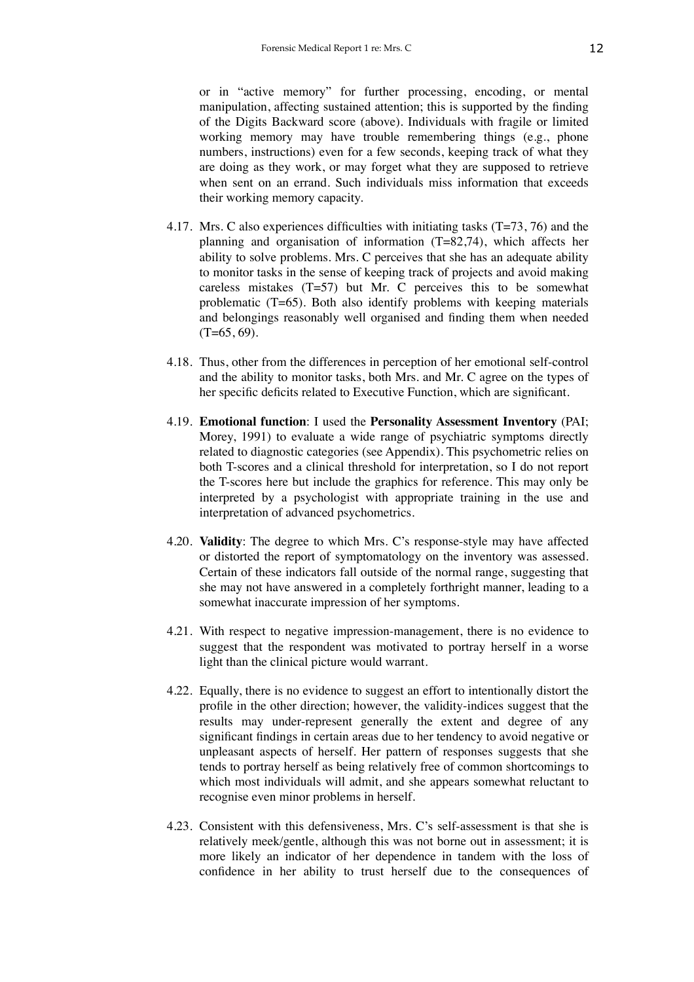or in "active memory" for further processing, encoding, or mental manipulation, affecting sustained attention; this is supported by the finding of the Digits Backward score (above). Individuals with fragile or limited working memory may have trouble remembering things (e.g., phone numbers, instructions) even for a few seconds, keeping track of what they are doing as they work, or may forget what they are supposed to retrieve when sent on an errand. Such individuals miss information that exceeds their working memory capacity.

- 4.17. Mrs. C also experiences difficulties with initiating tasks (T=73, 76) and the planning and organisation of information (T=82,74), which affects her ability to solve problems. Mrs. C perceives that she has an adequate ability to monitor tasks in the sense of keeping track of projects and avoid making careless mistakes  $(T=57)$  but Mr. C perceives this to be somewhat problematic (T=65). Both also identify problems with keeping materials and belongings reasonably well organised and finding them when needed  $(T=65, 69)$ .
- 4.18. Thus, other from the differences in perception of her emotional self-control and the ability to monitor tasks, both Mrs. and Mr. C agree on the types of her specific deficits related to Executive Function, which are significant.
- 4.19. **Emotional function**: I used the **Personality Assessment Inventory** (PAI; Morey, 1991) to evaluate a wide range of psychiatric symptoms directly related to diagnostic categories (see Appendix). This psychometric relies on both T-scores and a clinical threshold for interpretation, so I do not report the T-scores here but include the graphics for reference. This may only be interpreted by a psychologist with appropriate training in the use and interpretation of advanced psychometrics.
- 4.20. **Validity**: The degree to which Mrs. C's response-style may have affected or distorted the report of symptomatology on the inventory was assessed. Certain of these indicators fall outside of the normal range, suggesting that she may not have answered in a completely forthright manner, leading to a somewhat inaccurate impression of her symptoms.
- 4.21. With respect to negative impression-management, there is no evidence to suggest that the respondent was motivated to portray herself in a worse light than the clinical picture would warrant.
- 4.22. Equally, there is no evidence to suggest an effort to intentionally distort the profile in the other direction; however, the validity-indices suggest that the results may under-represent generally the extent and degree of any significant findings in certain areas due to her tendency to avoid negative or unpleasant aspects of herself. Her pattern of responses suggests that she tends to portray herself as being relatively free of common shortcomings to which most individuals will admit, and she appears somewhat reluctant to recognise even minor problems in herself.
- 4.23. Consistent with this defensiveness, Mrs. C's self-assessment is that she is relatively meek/gentle, although this was not borne out in assessment; it is more likely an indicator of her dependence in tandem with the loss of confidence in her ability to trust herself due to the consequences of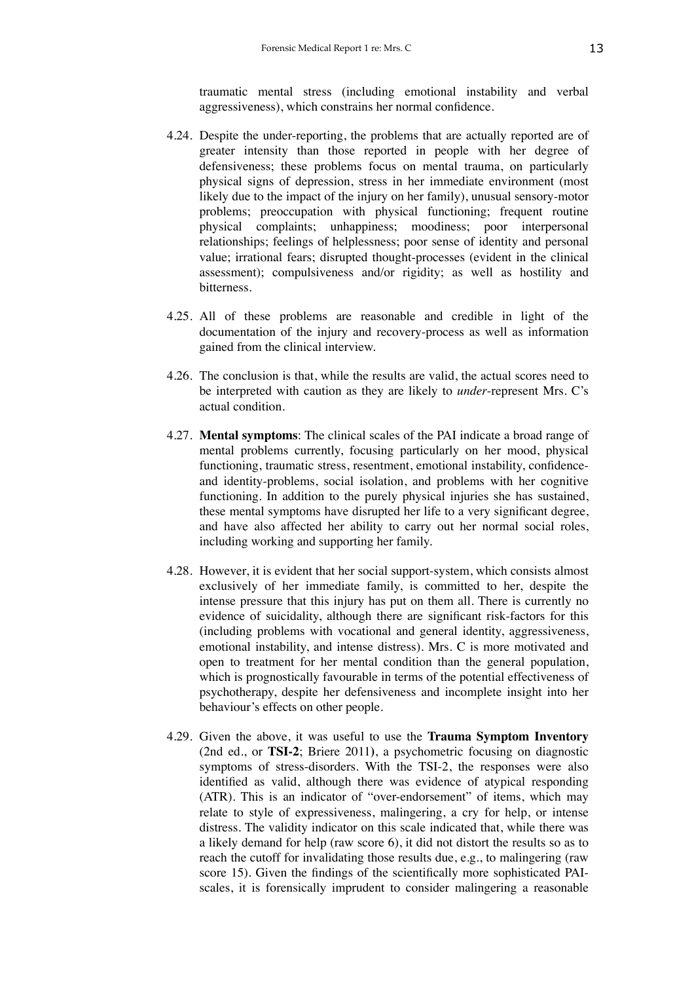traumatic mental stress (including emotional instability and verbal aggressiveness), which constrains her normal confidence.

- 4.24. Despite the under-reporting, the problems that are actually reported are of greater intensity than those reported in people with her degree of defensiveness; these problems focus on mental trauma, on particularly physical signs of depression, stress in her immediate environment (most likely due to the impact of the injury on her family), unusual sensory-motor problems; preoccupation with physical functioning; frequent routine physical complaints; unhappiness; moodiness; poor interpersonal relationships; feelings of helplessness; poor sense of identity and personal value; irrational fears; disrupted thought-processes (evident in the clinical assessment); compulsiveness and/or rigidity; as well as hostility and bitterness.
- 4.25. All of these problems are reasonable and credible in light of the documentation of the injury and recovery-process as well as information gained from the clinical interview.
- 4.26. The conclusion is that, while the results are valid, the actual scores need to be interpreted with caution as they are likely to *under*-represent Mrs. C's actual condition.
- 4.27. **Mental symptoms**: The clinical scales of the PAI indicate a broad range of mental problems currently, focusing particularly on her mood, physical functioning, traumatic stress, resentment, emotional instability, confidenceand identity-problems, social isolation, and problems with her cognitive functioning. In addition to the purely physical injuries she has sustained, these mental symptoms have disrupted her life to a very significant degree, and have also affected her ability to carry out her normal social roles, including working and supporting her family.
- 4.28. However, it is evident that her social support-system, which consists almost exclusively of her immediate family, is committed to her, despite the intense pressure that this injury has put on them all. There is currently no evidence of suicidality, although there are significant risk-factors for this (including problems with vocational and general identity, aggressiveness, emotional instability, and intense distress). Mrs. C is more motivated and open to treatment for her mental condition than the general population, which is prognostically favourable in terms of the potential effectiveness of psychotherapy, despite her defensiveness and incomplete insight into her behaviour's effects on other people.
- 4.29. Given the above, it was useful to use the **Trauma Symptom Inventory**  (2nd ed., or **TSI-2**; Briere 2011**)**, a psychometric focusing on diagnostic symptoms of stress-disorders. With the TSI-2, the responses were also identified as valid, although there was evidence of atypical responding (ATR). This is an indicator of "over-endorsement" of items, which may relate to style of expressiveness, malingering, a cry for help, or intense distress. The validity indicator on this scale indicated that, while there was a likely demand for help (raw score 6), it did not distort the results so as to reach the cutoff for invalidating those results due, e.g., to malingering (raw score 15). Given the findings of the scientifically more sophisticated PAIscales, it is forensically imprudent to consider malingering a reasonable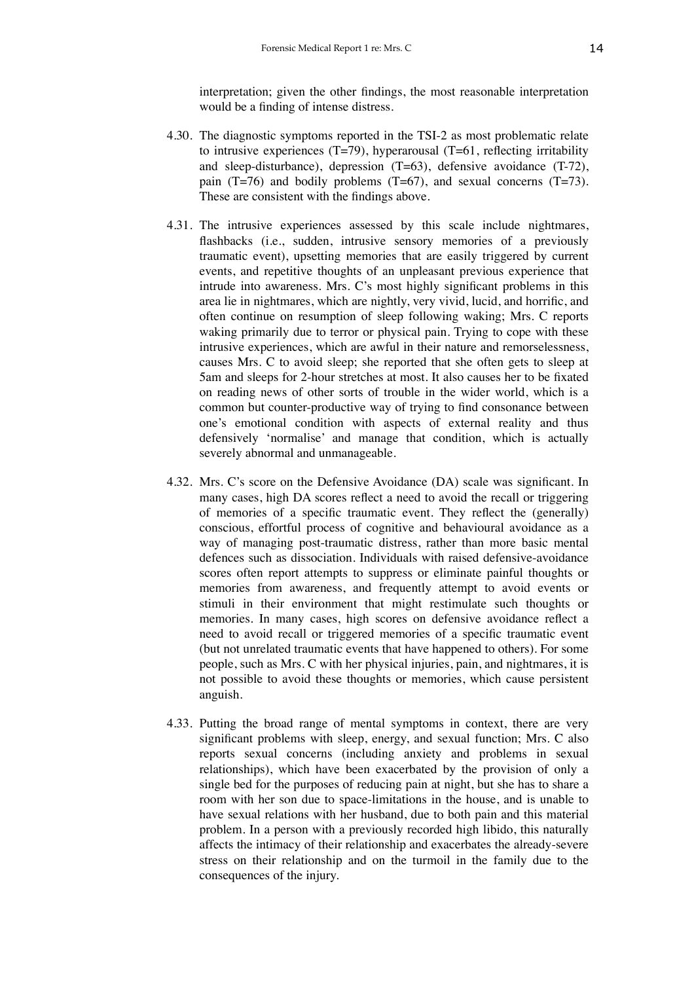interpretation; given the other findings, the most reasonable interpretation would be a finding of intense distress.

- 4.30. The diagnostic symptoms reported in the TSI-2 as most problematic relate to intrusive experiences  $(T=79)$ , hyperarousal  $(T=61$ , reflecting irritability and sleep-disturbance), depression (T=63), defensive avoidance (T-72), pain  $(T=76)$  and bodily problems  $(T=67)$ , and sexual concerns  $(T=73)$ . These are consistent with the findings above.
- 4.31. The intrusive experiences assessed by this scale include nightmares, flashbacks (i.e., sudden, intrusive sensory memories of a previously traumatic event), upsetting memories that are easily triggered by current events, and repetitive thoughts of an unpleasant previous experience that intrude into awareness. Mrs. C's most highly significant problems in this area lie in nightmares, which are nightly, very vivid, lucid, and horrific, and often continue on resumption of sleep following waking; Mrs. C reports waking primarily due to terror or physical pain. Trying to cope with these intrusive experiences, which are awful in their nature and remorselessness, causes Mrs. C to avoid sleep; she reported that she often gets to sleep at 5am and sleeps for 2-hour stretches at most. It also causes her to be fixated on reading news of other sorts of trouble in the wider world, which is a common but counter-productive way of trying to find consonance between one's emotional condition with aspects of external reality and thus defensively 'normalise' and manage that condition, which is actually severely abnormal and unmanageable.
- 4.32. Mrs. C's score on the Defensive Avoidance (DA) scale was significant. In many cases, high DA scores reflect a need to avoid the recall or triggering of memories of a specific traumatic event. They reflect the (generally) conscious, effortful process of cognitive and behavioural avoidance as a way of managing post-traumatic distress, rather than more basic mental defences such as dissociation. Individuals with raised defensive-avoidance scores often report attempts to suppress or eliminate painful thoughts or memories from awareness, and frequently attempt to avoid events or stimuli in their environment that might restimulate such thoughts or memories. In many cases, high scores on defensive avoidance reflect a need to avoid recall or triggered memories of a specific traumatic event (but not unrelated traumatic events that have happened to others). For some people, such as Mrs. C with her physical injuries, pain, and nightmares, it is not possible to avoid these thoughts or memories, which cause persistent anguish.
- 4.33. Putting the broad range of mental symptoms in context, there are very significant problems with sleep, energy, and sexual function; Mrs. C also reports sexual concerns (including anxiety and problems in sexual relationships), which have been exacerbated by the provision of only a single bed for the purposes of reducing pain at night, but she has to share a room with her son due to space-limitations in the house, and is unable to have sexual relations with her husband, due to both pain and this material problem. In a person with a previously recorded high libido, this naturally affects the intimacy of their relationship and exacerbates the already-severe stress on their relationship and on the turmoil in the family due to the consequences of the injury.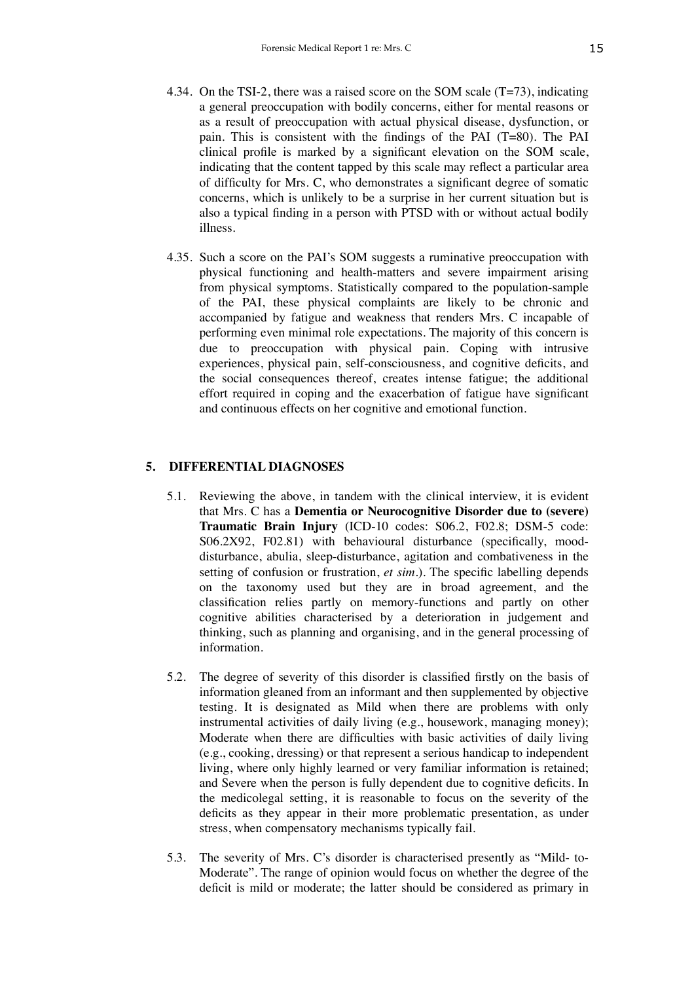- 4.34. On the TSI-2, there was a raised score on the SOM scale (T=73), indicating a general preoccupation with bodily concerns, either for mental reasons or as a result of preoccupation with actual physical disease, dysfunction, or pain. This is consistent with the findings of the PAI (T=80). The PAI clinical profile is marked by a significant elevation on the SOM scale, indicating that the content tapped by this scale may reflect a particular area of difficulty for Mrs. C, who demonstrates a significant degree of somatic concerns, which is unlikely to be a surprise in her current situation but is also a typical finding in a person with PTSD with or without actual bodily illness.
- 4.35. Such a score on the PAI's SOM suggests a ruminative preoccupation with physical functioning and health-matters and severe impairment arising from physical symptoms. Statistically compared to the population-sample of the PAI, these physical complaints are likely to be chronic and accompanied by fatigue and weakness that renders Mrs. C incapable of performing even minimal role expectations. The majority of this concern is due to preoccupation with physical pain. Coping with intrusive experiences, physical pain, self-consciousness, and cognitive deficits, and the social consequences thereof, creates intense fatigue; the additional effort required in coping and the exacerbation of fatigue have significant and continuous effects on her cognitive and emotional function.

# **5. DIFFERENTIAL DIAGNOSES**

- 5.1. Reviewing the above, in tandem with the clinical interview, it is evident that Mrs. C has a **Dementia or Neurocognitive Disorder due to (severe) Traumatic Brain Injury** (ICD-10 codes: S06.2, F02.8; DSM-5 code: S06.2X92, F02.81) with behavioural disturbance (specifically, mooddisturbance, abulia, sleep-disturbance, agitation and combativeness in the setting of confusion or frustration, *et sim.*). The specific labelling depends on the taxonomy used but they are in broad agreement, and the classification relies partly on memory-functions and partly on other cognitive abilities characterised by a deterioration in judgement and thinking, such as planning and organising, and in the general processing of information.
- 5.2. The degree of severity of this disorder is classified firstly on the basis of information gleaned from an informant and then supplemented by objective testing. It is designated as Mild when there are problems with only instrumental activities of daily living (e.g., housework, managing money); Moderate when there are difficulties with basic activities of daily living (e.g., cooking, dressing) or that represent a serious handicap to independent living, where only highly learned or very familiar information is retained; and Severe when the person is fully dependent due to cognitive deficits. In the medicolegal setting, it is reasonable to focus on the severity of the deficits as they appear in their more problematic presentation, as under stress, when compensatory mechanisms typically fail.
- 5.3. The severity of Mrs. C's disorder is characterised presently as "Mild- to-Moderate". The range of opinion would focus on whether the degree of the deficit is mild or moderate; the latter should be considered as primary in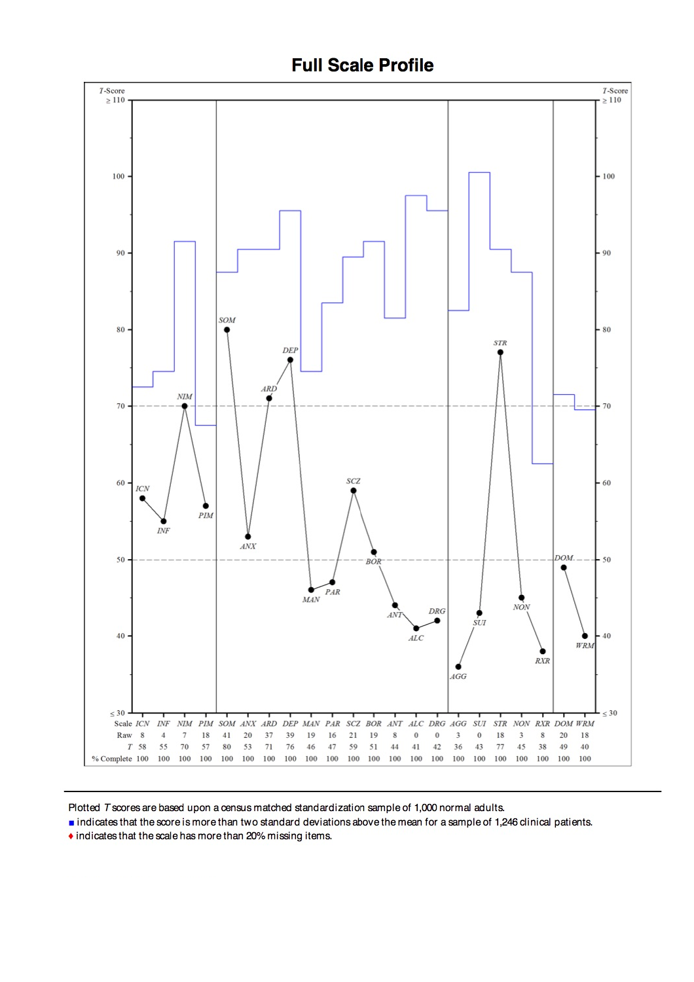

Plotted T scores are based upon a census matched standardization sample of 1,000 normal adults.

indicates that the score is more than two standard deviations above the mean for a sample of 1,246 clinical patients.

• indicates that the scale has more than 20% missing items.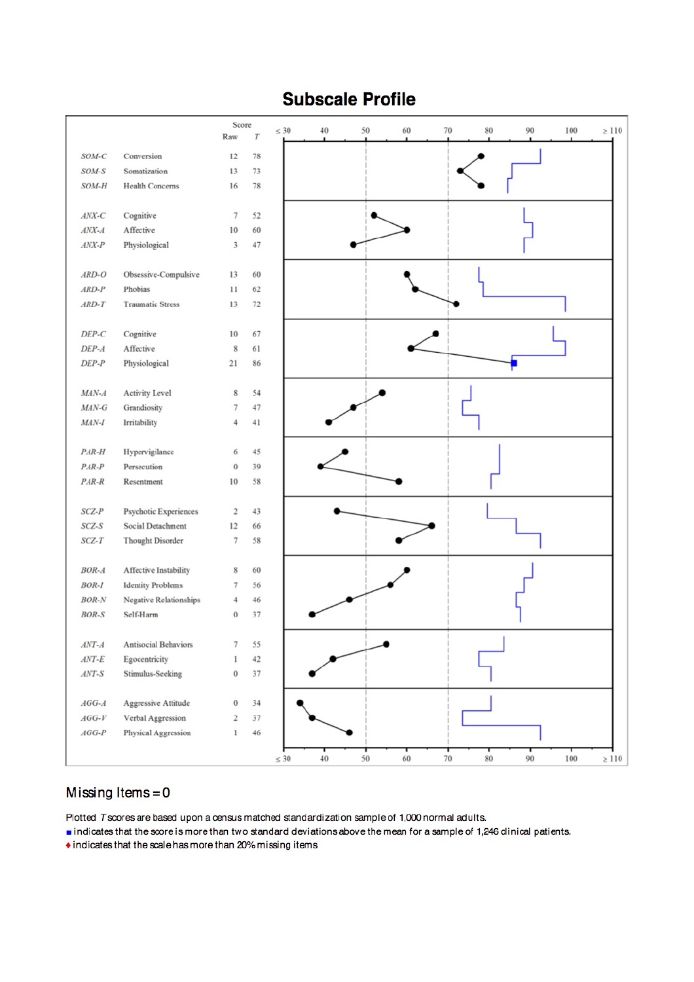# **Subscale Profile**



# Missing Items =  $0$

Plotted T scores are based upon a census matched standardization sample of 1,000 normal adults.

indicates that the score is more than two standard deviations above the mean for a sample of 1,246 clinical patients.

• indicates that the scale has more than 20% missing items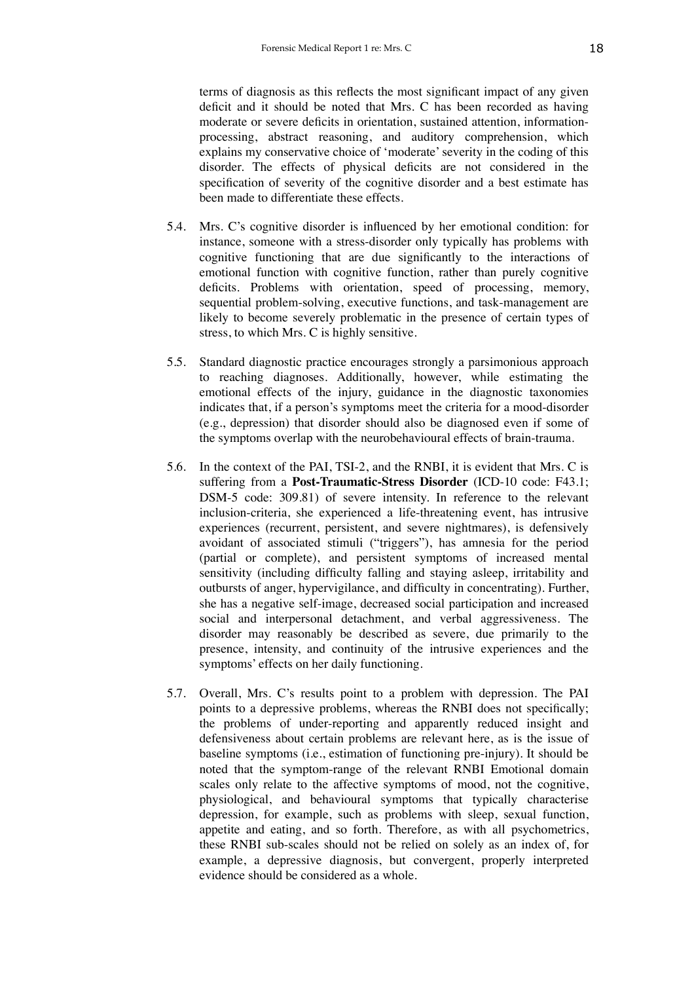terms of diagnosis as this reflects the most significant impact of any given deficit and it should be noted that Mrs. C has been recorded as having moderate or severe deficits in orientation, sustained attention, informationprocessing, abstract reasoning, and auditory comprehension, which explains my conservative choice of 'moderate' severity in the coding of this disorder. The effects of physical deficits are not considered in the specification of severity of the cognitive disorder and a best estimate has been made to differentiate these effects.

- 5.4. Mrs. C's cognitive disorder is influenced by her emotional condition: for instance, someone with a stress-disorder only typically has problems with cognitive functioning that are due significantly to the interactions of emotional function with cognitive function, rather than purely cognitive deficits. Problems with orientation, speed of processing, memory, sequential problem-solving, executive functions, and task-management are likely to become severely problematic in the presence of certain types of stress, to which Mrs. C is highly sensitive.
- 5.5. Standard diagnostic practice encourages strongly a parsimonious approach to reaching diagnoses. Additionally, however, while estimating the emotional effects of the injury, guidance in the diagnostic taxonomies indicates that, if a person's symptoms meet the criteria for a mood-disorder (e.g., depression) that disorder should also be diagnosed even if some of the symptoms overlap with the neurobehavioural effects of brain-trauma.
- 5.6. In the context of the PAI, TSI-2, and the RNBI, it is evident that Mrs. C is suffering from a **Post-Traumatic-Stress Disorder** (ICD-10 code: F43.1; DSM-5 code: 309.81) of severe intensity. In reference to the relevant inclusion-criteria, she experienced a life-threatening event, has intrusive experiences (recurrent, persistent, and severe nightmares), is defensively avoidant of associated stimuli ("triggers"), has amnesia for the period (partial or complete), and persistent symptoms of increased mental sensitivity (including difficulty falling and staying asleep, irritability and outbursts of anger, hypervigilance, and difficulty in concentrating). Further, she has a negative self-image, decreased social participation and increased social and interpersonal detachment, and verbal aggressiveness. The disorder may reasonably be described as severe, due primarily to the presence, intensity, and continuity of the intrusive experiences and the symptoms' effects on her daily functioning.
- 5.7. Overall, Mrs. C's results point to a problem with depression. The PAI points to a depressive problems, whereas the RNBI does not specifically; the problems of under-reporting and apparently reduced insight and defensiveness about certain problems are relevant here, as is the issue of baseline symptoms (i.e., estimation of functioning pre-injury). It should be noted that the symptom-range of the relevant RNBI Emotional domain scales only relate to the affective symptoms of mood, not the cognitive, physiological, and behavioural symptoms that typically characterise depression, for example, such as problems with sleep, sexual function, appetite and eating, and so forth. Therefore, as with all psychometrics, these RNBI sub-scales should not be relied on solely as an index of, for example, a depressive diagnosis, but convergent, properly interpreted evidence should be considered as a whole.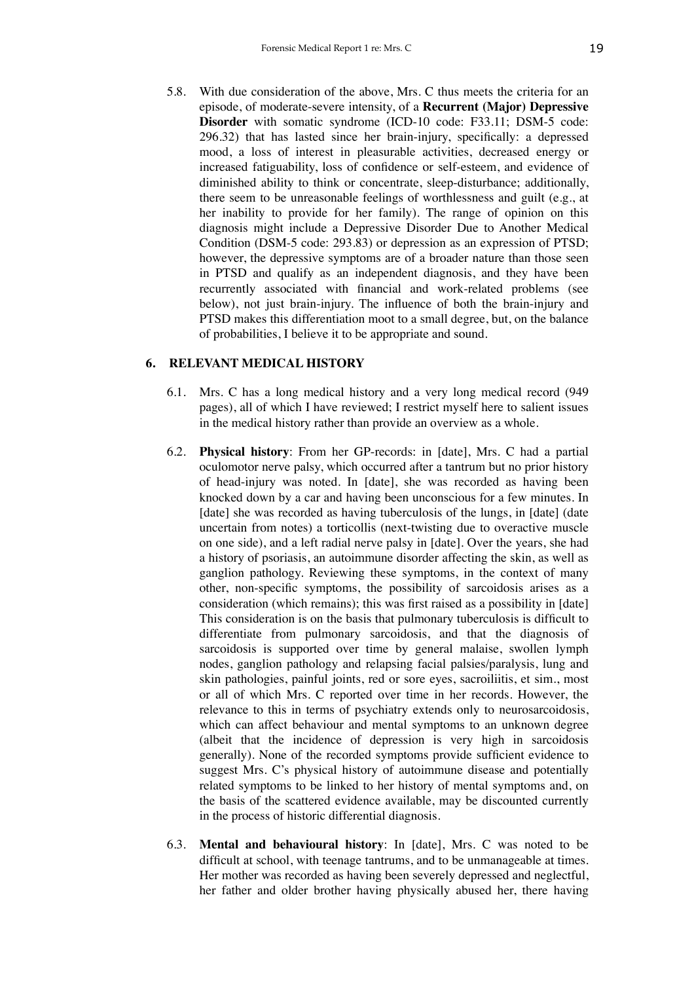5.8. With due consideration of the above, Mrs. C thus meets the criteria for an episode, of moderate-severe intensity, of a **Recurrent (Major) Depressive Disorder** with somatic syndrome (ICD-10 code: F33.11; DSM-5 code: 296.32) that has lasted since her brain-injury, specifically: a depressed mood, a loss of interest in pleasurable activities, decreased energy or increased fatiguability, loss of confidence or self-esteem, and evidence of diminished ability to think or concentrate, sleep-disturbance; additionally, there seem to be unreasonable feelings of worthlessness and guilt (e.g., at her inability to provide for her family). The range of opinion on this diagnosis might include a Depressive Disorder Due to Another Medical Condition (DSM-5 code: 293.83) or depression as an expression of PTSD; however, the depressive symptoms are of a broader nature than those seen in PTSD and qualify as an independent diagnosis, and they have been recurrently associated with financial and work-related problems (see below), not just brain-injury. The influence of both the brain-injury and PTSD makes this differentiation moot to a small degree, but, on the balance of probabilities, I believe it to be appropriate and sound.

#### **6. RELEVANT MEDICAL HISTORY**

- 6.1. Mrs. C has a long medical history and a very long medical record (949 pages), all of which I have reviewed; I restrict myself here to salient issues in the medical history rather than provide an overview as a whole.
- 6.2. **Physical history**: From her GP-records: in [date], Mrs. C had a partial oculomotor nerve palsy, which occurred after a tantrum but no prior history of head-injury was noted. In [date], she was recorded as having been knocked down by a car and having been unconscious for a few minutes. In [date] she was recorded as having tuberculosis of the lungs, in [date] (date uncertain from notes) a torticollis (next-twisting due to overactive muscle on one side), and a left radial nerve palsy in [date]. Over the years, she had a history of psoriasis, an autoimmune disorder affecting the skin, as well as ganglion pathology. Reviewing these symptoms, in the context of many other, non-specific symptoms, the possibility of sarcoidosis arises as a consideration (which remains); this was first raised as a possibility in [date] This consideration is on the basis that pulmonary tuberculosis is difficult to differentiate from pulmonary sarcoidosis, and that the diagnosis of sarcoidosis is supported over time by general malaise, swollen lymph nodes, ganglion pathology and relapsing facial palsies/paralysis, lung and skin pathologies, painful joints, red or sore eyes, sacroiliitis, et sim., most or all of which Mrs. C reported over time in her records. However, the relevance to this in terms of psychiatry extends only to neurosarcoidosis, which can affect behaviour and mental symptoms to an unknown degree (albeit that the incidence of depression is very high in sarcoidosis generally). None of the recorded symptoms provide sufficient evidence to suggest Mrs. C's physical history of autoimmune disease and potentially related symptoms to be linked to her history of mental symptoms and, on the basis of the scattered evidence available, may be discounted currently in the process of historic differential diagnosis.
- 6.3. **Mental and behavioural history**: In [date], Mrs. C was noted to be difficult at school, with teenage tantrums, and to be unmanageable at times. Her mother was recorded as having been severely depressed and neglectful, her father and older brother having physically abused her, there having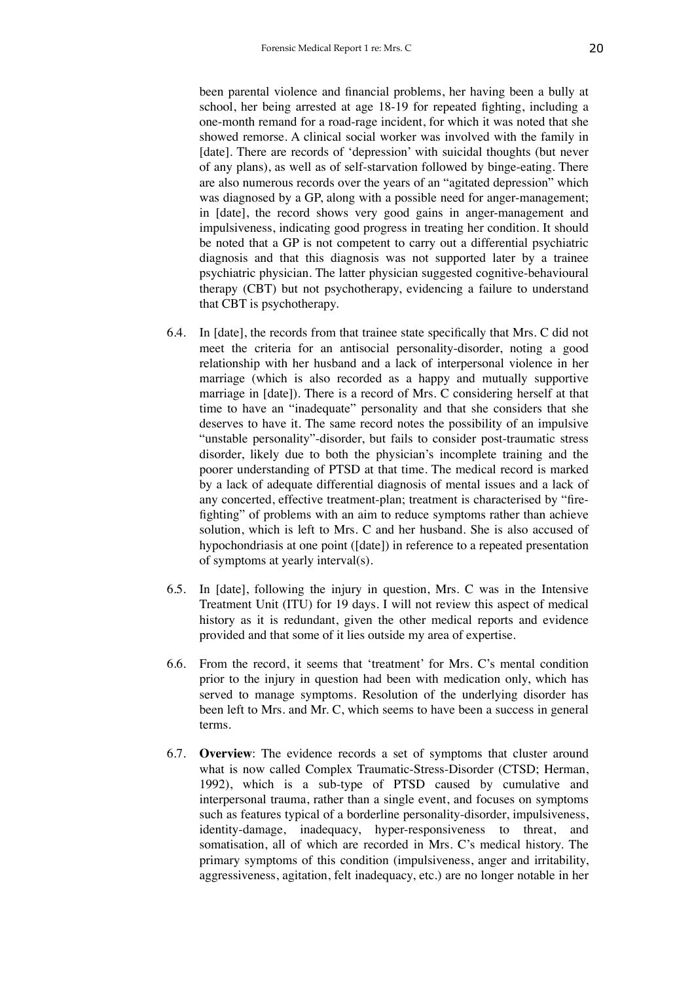been parental violence and financial problems, her having been a bully at school, her being arrested at age 18-19 for repeated fighting, including a one-month remand for a road-rage incident, for which it was noted that she showed remorse. A clinical social worker was involved with the family in [date]. There are records of 'depression' with suicidal thoughts (but never of any plans), as well as of self-starvation followed by binge-eating. There are also numerous records over the years of an "agitated depression" which was diagnosed by a GP, along with a possible need for anger-management; in [date], the record shows very good gains in anger-management and impulsiveness, indicating good progress in treating her condition. It should be noted that a GP is not competent to carry out a differential psychiatric diagnosis and that this diagnosis was not supported later by a trainee psychiatric physician. The latter physician suggested cognitive-behavioural therapy (CBT) but not psychotherapy, evidencing a failure to understand that CBT is psychotherapy.

- 6.4. In [date], the records from that trainee state specifically that Mrs. C did not meet the criteria for an antisocial personality-disorder, noting a good relationship with her husband and a lack of interpersonal violence in her marriage (which is also recorded as a happy and mutually supportive marriage in [date]). There is a record of Mrs. C considering herself at that time to have an "inadequate" personality and that she considers that she deserves to have it. The same record notes the possibility of an impulsive "unstable personality"-disorder, but fails to consider post-traumatic stress disorder, likely due to both the physician's incomplete training and the poorer understanding of PTSD at that time. The medical record is marked by a lack of adequate differential diagnosis of mental issues and a lack of any concerted, effective treatment-plan; treatment is characterised by "firefighting" of problems with an aim to reduce symptoms rather than achieve solution, which is left to Mrs. C and her husband. She is also accused of hypochondriasis at one point ([date]) in reference to a repeated presentation of symptoms at yearly interval(s).
- 6.5. In [date], following the injury in question, Mrs. C was in the Intensive Treatment Unit (ITU) for 19 days. I will not review this aspect of medical history as it is redundant, given the other medical reports and evidence provided and that some of it lies outside my area of expertise.
- 6.6. From the record, it seems that 'treatment' for Mrs. C's mental condition prior to the injury in question had been with medication only, which has served to manage symptoms. Resolution of the underlying disorder has been left to Mrs. and Mr. C, which seems to have been a success in general terms.
- 6.7. **Overview**: The evidence records a set of symptoms that cluster around what is now called Complex Traumatic-Stress-Disorder (CTSD; Herman, 1992), which is a sub-type of PTSD caused by cumulative and interpersonal trauma, rather than a single event, and focuses on symptoms such as features typical of a borderline personality-disorder, impulsiveness, identity-damage, inadequacy, hyper-responsiveness to threat, and somatisation, all of which are recorded in Mrs. C's medical history. The primary symptoms of this condition (impulsiveness, anger and irritability, aggressiveness, agitation, felt inadequacy, etc.) are no longer notable in her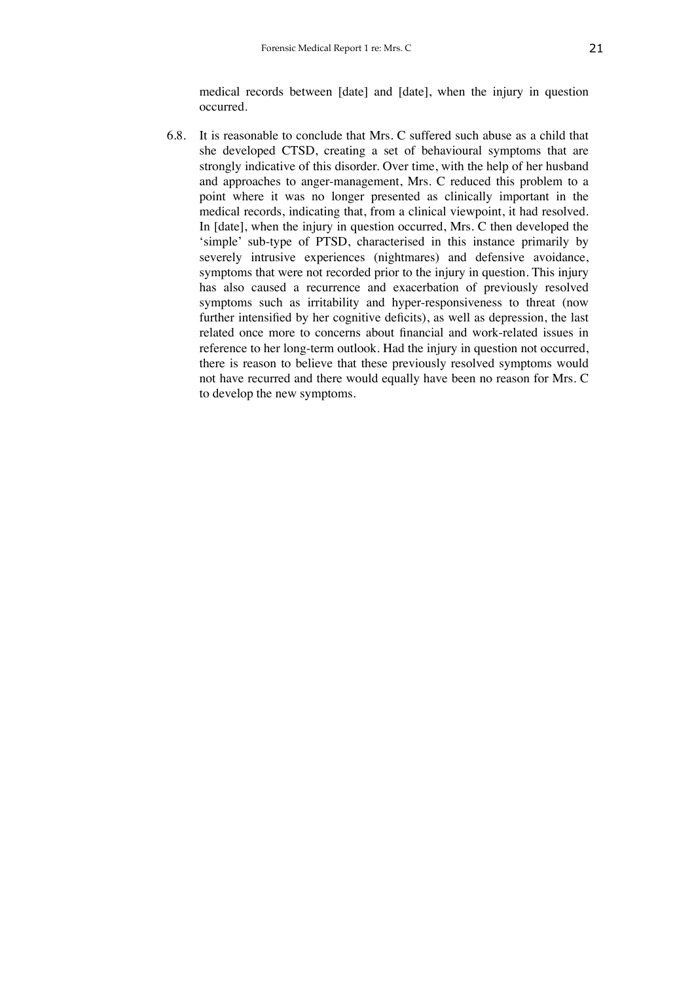medical records between [date] and [date], when the injury in question occurred.

6.8. It is reasonable to conclude that Mrs. C suffered such abuse as a child that she developed CTSD, creating a set of behavioural symptoms that are strongly indicative of this disorder. Over time, with the help of her husband and approaches to anger-management, Mrs. C reduced this problem to a point where it was no longer presented as clinically important in the medical records, indicating that, from a clinical viewpoint, it had resolved. In [date], when the injury in question occurred, Mrs. C then developed the 'simple' sub-type of PTSD, characterised in this instance primarily by severely intrusive experiences (nightmares) and defensive avoidance, symptoms that were not recorded prior to the injury in question. This injury has also caused a recurrence and exacerbation of previously resolved symptoms such as irritability and hyper-responsiveness to threat (now further intensified by her cognitive deficits), as well as depression, the last related once more to concerns about financial and work-related issues in reference to her long-term outlook. Had the injury in question not occurred, there is reason to believe that these previously resolved symptoms would not have recurred and there would equally have been no reason for Mrs. C to develop the new symptoms.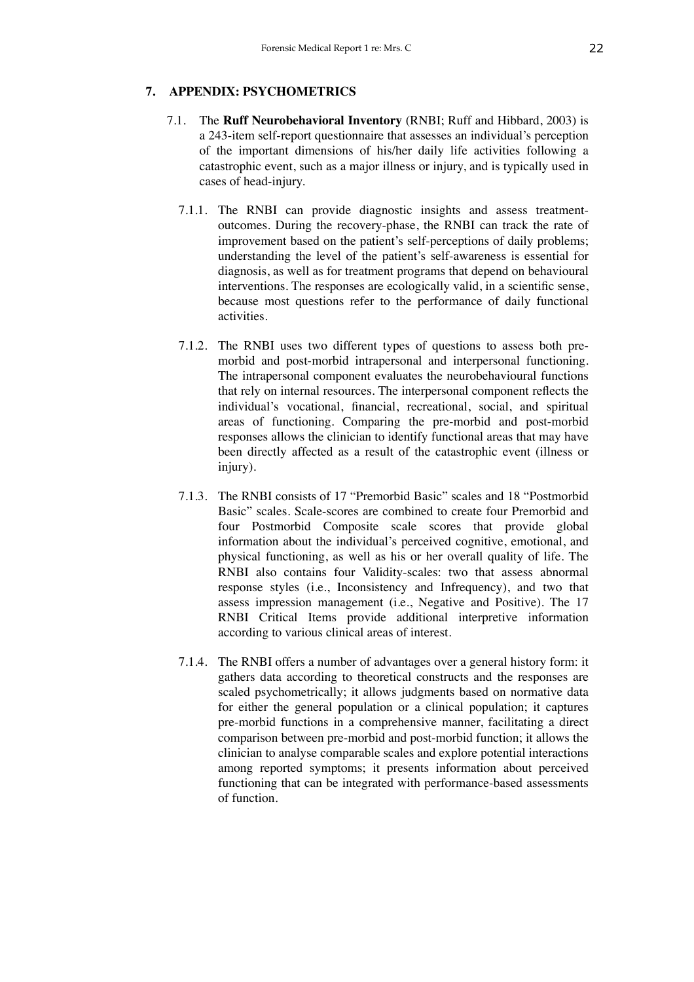# **7. APPENDIX: PSYCHOMETRICS**

- 7.1. The **Ruff Neurobehavioral Inventory** (RNBI; Ruff and Hibbard, 2003) is a 243-item self-report questionnaire that assesses an individual's perception of the important dimensions of his/her daily life activities following a catastrophic event, such as a major illness or injury, and is typically used in cases of head-injury.
	- 7.1.1. The RNBI can provide diagnostic insights and assess treatmentoutcomes. During the recovery-phase, the RNBI can track the rate of improvement based on the patient's self-perceptions of daily problems; understanding the level of the patient's self-awareness is essential for diagnosis, as well as for treatment programs that depend on behavioural interventions. The responses are ecologically valid, in a scientific sense, because most questions refer to the performance of daily functional activities.
	- 7.1.2. The RNBI uses two different types of questions to assess both premorbid and post-morbid intrapersonal and interpersonal functioning. The intrapersonal component evaluates the neurobehavioural functions that rely on internal resources. The interpersonal component reflects the individual's vocational, financial, recreational, social, and spiritual areas of functioning. Comparing the pre-morbid and post-morbid responses allows the clinician to identify functional areas that may have been directly affected as a result of the catastrophic event (illness or injury).
	- 7.1.3. The RNBI consists of 17 "Premorbid Basic" scales and 18 "Postmorbid Basic" scales. Scale-scores are combined to create four Premorbid and four Postmorbid Composite scale scores that provide global information about the individual's perceived cognitive, emotional, and physical functioning, as well as his or her overall quality of life. The RNBI also contains four Validity-scales: two that assess abnormal response styles (i.e., Inconsistency and Infrequency), and two that assess impression management (i.e., Negative and Positive). The 17 RNBI Critical Items provide additional interpretive information according to various clinical areas of interest.
	- 7.1.4. The RNBI offers a number of advantages over a general history form: it gathers data according to theoretical constructs and the responses are scaled psychometrically; it allows judgments based on normative data for either the general population or a clinical population; it captures pre-morbid functions in a comprehensive manner, facilitating a direct comparison between pre-morbid and post-morbid function; it allows the clinician to analyse comparable scales and explore potential interactions among reported symptoms; it presents information about perceived functioning that can be integrated with performance-based assessments of function.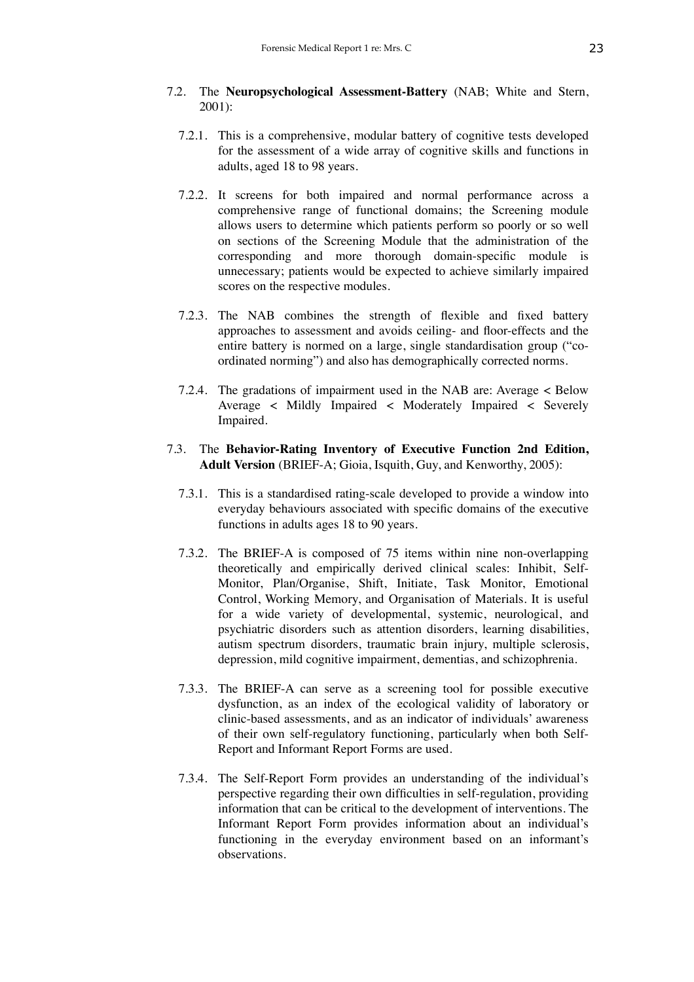- 7.2. The **Neuropsychological Assessment-Battery** (NAB; White and Stern, 2001):
	- 7.2.1. This is a comprehensive, modular battery of cognitive tests developed for the assessment of a wide array of cognitive skills and functions in adults, aged 18 to 98 years.
	- 7.2.2. It screens for both impaired and normal performance across a comprehensive range of functional domains; the Screening module allows users to determine which patients perform so poorly or so well on sections of the Screening Module that the administration of the corresponding and more thorough domain-specific module is unnecessary; patients would be expected to achieve similarly impaired scores on the respective modules.
	- 7.2.3. The NAB combines the strength of flexible and fixed battery approaches to assessment and avoids ceiling- and floor-effects and the entire battery is normed on a large, single standardisation group ("coordinated norming") and also has demographically corrected norms.
	- 7.2.4. The gradations of impairment used in the NAB are: Average < Below Average < Mildly Impaired < Moderately Impaired < Severely Impaired.
- 7.3. The **Behavior-Rating Inventory of Executive Function 2nd Edition, Adult Version** (BRIEF-A; Gioia, Isquith, Guy, and Kenworthy, 2005):
	- 7.3.1. This is a standardised rating-scale developed to provide a window into everyday behaviours associated with specific domains of the executive functions in adults ages 18 to 90 years.
	- 7.3.2. The BRIEF-A is composed of 75 items within nine non-overlapping theoretically and empirically derived clinical scales: Inhibit, Self-Monitor, Plan/Organise, Shift, Initiate, Task Monitor, Emotional Control, Working Memory, and Organisation of Materials. It is useful for a wide variety of developmental, systemic, neurological, and psychiatric disorders such as attention disorders, learning disabilities, autism spectrum disorders, traumatic brain injury, multiple sclerosis, depression, mild cognitive impairment, dementias, and schizophrenia.
	- 7.3.3. The BRIEF-A can serve as a screening tool for possible executive dysfunction, as an index of the ecological validity of laboratory or clinic-based assessments, and as an indicator of individuals' awareness of their own self-regulatory functioning, particularly when both Self-Report and Informant Report Forms are used.
	- 7.3.4. The Self-Report Form provides an understanding of the individual's perspective regarding their own difficulties in self-regulation, providing information that can be critical to the development of interventions. The Informant Report Form provides information about an individual's functioning in the everyday environment based on an informant's observations.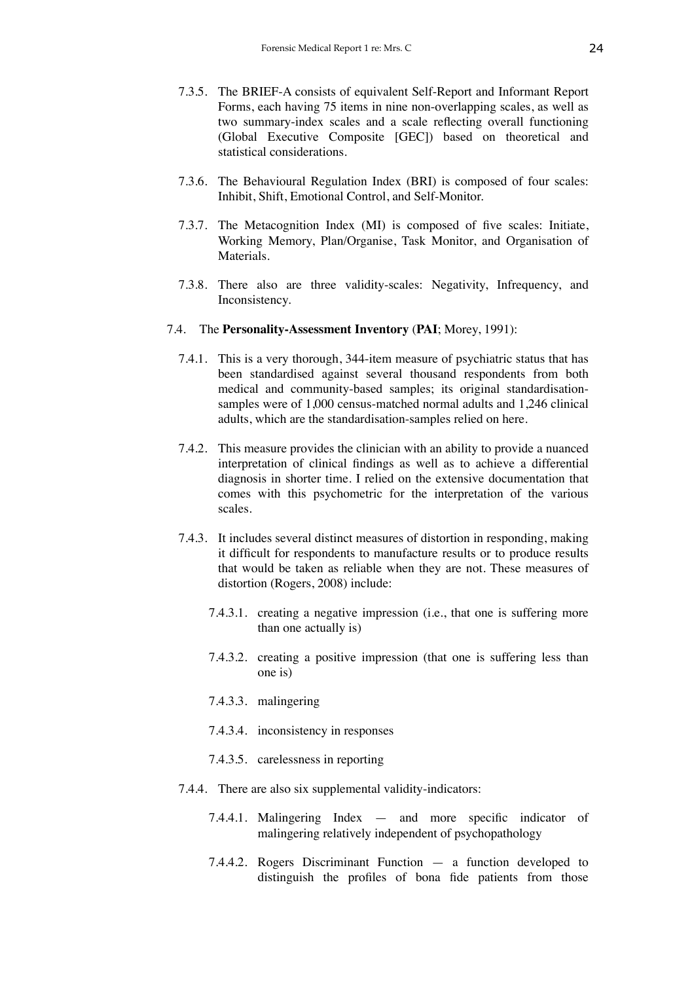- 7.3.5. The BRIEF-A consists of equivalent Self-Report and Informant Report Forms, each having 75 items in nine non-overlapping scales, as well as two summary-index scales and a scale reflecting overall functioning (Global Executive Composite [GEC]) based on theoretical and statistical considerations.
- 7.3.6. The Behavioural Regulation Index (BRI) is composed of four scales: Inhibit, Shift, Emotional Control, and Self-Monitor.
- 7.3.7. The Metacognition Index (MI) is composed of five scales: Initiate, Working Memory, Plan/Organise, Task Monitor, and Organisation of Materials.
- 7.3.8. There also are three validity-scales: Negativity, Infrequency, and Inconsistency.
- 7.4. The **Personality-Assessment Inventory** (**PAI**; Morey, 1991):
	- 7.4.1. This is a very thorough, 344-item measure of psychiatric status that has been standardised against several thousand respondents from both medical and community-based samples; its original standardisationsamples were of 1,000 census-matched normal adults and 1,246 clinical adults, which are the standardisation-samples relied on here.
	- 7.4.2. This measure provides the clinician with an ability to provide a nuanced interpretation of clinical findings as well as to achieve a differential diagnosis in shorter time. I relied on the extensive documentation that comes with this psychometric for the interpretation of the various scales.
	- 7.4.3. It includes several distinct measures of distortion in responding, making it difficult for respondents to manufacture results or to produce results that would be taken as reliable when they are not. These measures of distortion (Rogers, 2008) include:
		- 7.4.3.1. creating a negative impression (i.e., that one is suffering more than one actually is)
		- 7.4.3.2. creating a positive impression (that one is suffering less than one is)
		- 7.4.3.3. malingering
		- 7.4.3.4. inconsistency in responses
		- 7.4.3.5. carelessness in reporting
	- 7.4.4. There are also six supplemental validity-indicators:
		- 7.4.4.1. Malingering Index and more specific indicator of malingering relatively independent of psychopathology
		- 7.4.4.2. Rogers Discriminant Function a function developed to distinguish the profiles of bona fide patients from those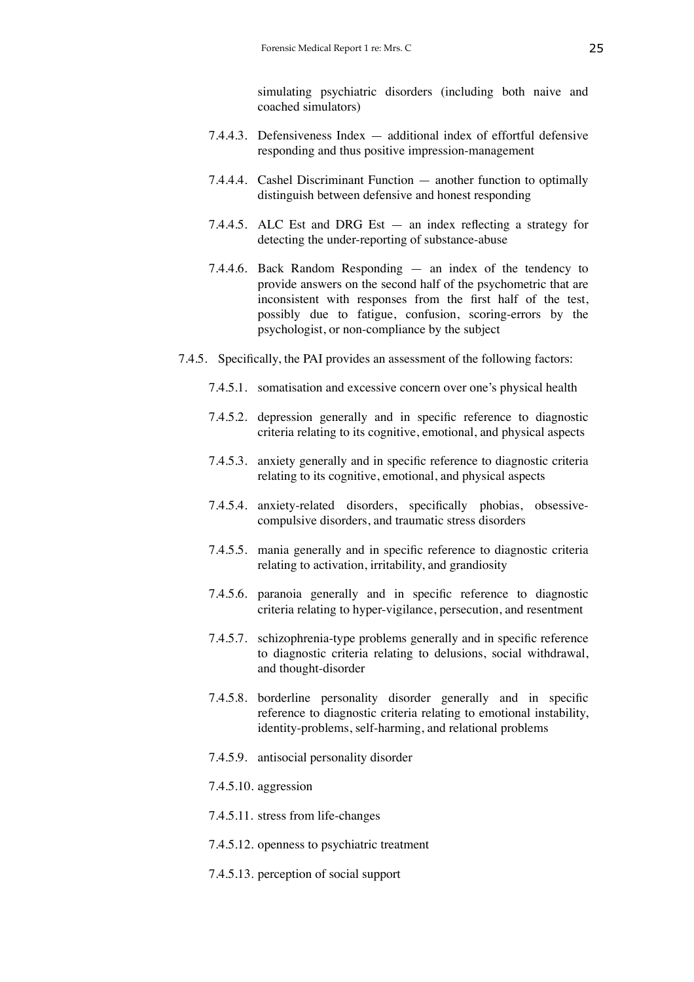simulating psychiatric disorders (including both naive and coached simulators)

- 7.4.4.3. Defensiveness Index additional index of effortful defensive responding and thus positive impression-management
- 7.4.4.4. Cashel Discriminant Function another function to optimally distinguish between defensive and honest responding
- 7.4.4.5. ALC Est and DRG Est an index reflecting a strategy for detecting the under-reporting of substance-abuse
- 7.4.4.6. Back Random Responding an index of the tendency to provide answers on the second half of the psychometric that are inconsistent with responses from the first half of the test, possibly due to fatigue, confusion, scoring-errors by the psychologist, or non-compliance by the subject
- 7.4.5. Specifically, the PAI provides an assessment of the following factors:
	- 7.4.5.1. somatisation and excessive concern over one's physical health
	- 7.4.5.2. depression generally and in specific reference to diagnostic criteria relating to its cognitive, emotional, and physical aspects
	- 7.4.5.3. anxiety generally and in specific reference to diagnostic criteria relating to its cognitive, emotional, and physical aspects
	- 7.4.5.4. anxiety-related disorders, specifically phobias, obsessivecompulsive disorders, and traumatic stress disorders
	- 7.4.5.5. mania generally and in specific reference to diagnostic criteria relating to activation, irritability, and grandiosity
	- 7.4.5.6. paranoia generally and in specific reference to diagnostic criteria relating to hyper-vigilance, persecution, and resentment
	- 7.4.5.7. schizophrenia-type problems generally and in specific reference to diagnostic criteria relating to delusions, social withdrawal, and thought-disorder
	- 7.4.5.8. borderline personality disorder generally and in specific reference to diagnostic criteria relating to emotional instability, identity-problems, self-harming, and relational problems
	- 7.4.5.9. antisocial personality disorder
	- 7.4.5.10. aggression
	- 7.4.5.11. stress from life-changes
	- 7.4.5.12. openness to psychiatric treatment
	- 7.4.5.13. perception of social support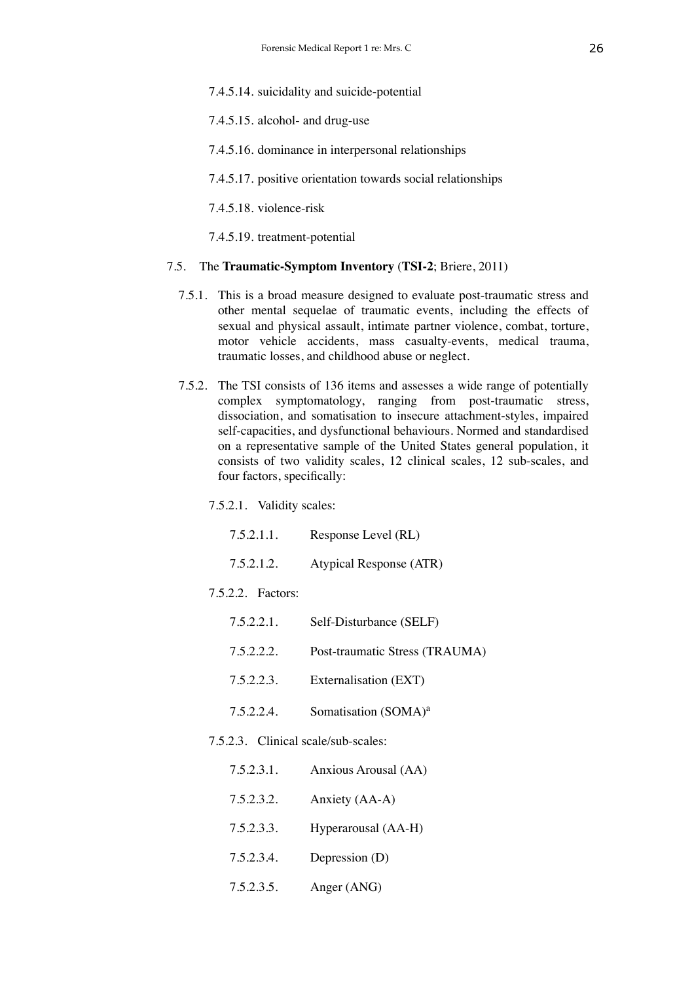- 7.4.5.14. suicidality and suicide-potential
- 7.4.5.15. alcohol- and drug-use
- 7.4.5.16. dominance in interpersonal relationships
- 7.4.5.17. positive orientation towards social relationships
- 7.4.5.18. violence-risk
- 7.4.5.19. treatment-potential

### 7.5. The **Traumatic-Symptom Inventory** (**TSI-2**; Briere, 2011)

- 7.5.1. This is a broad measure designed to evaluate post-traumatic stress and other mental sequelae of traumatic events, including the effects of sexual and physical assault, intimate partner violence, combat, torture, motor vehicle accidents, mass casualty-events, medical trauma, traumatic losses, and childhood abuse or neglect.
- 7.5.2. The TSI consists of 136 items and assesses a wide range of potentially complex symptomatology, ranging from post-traumatic stress, dissociation, and somatisation to insecure attachment-styles, impaired self-capacities, and dysfunctional behaviours. Normed and standardised on a representative sample of the United States general population, it consists of two validity scales, 12 clinical scales, 12 sub-scales, and four factors, specifically:

### 7.5.2.1. Validity scales:

7.5.2.2. Factors:

| 7.5.2.1.1.                          | Response Level (RL)              |  |
|-------------------------------------|----------------------------------|--|
| 7.5.2.1.2.                          | Atypical Response (ATR)          |  |
| 7.5.2.2. Factors:                   |                                  |  |
| 7.5.2.2.1.                          | Self-Disturbance (SELF)          |  |
| 7.5.2.2.2.                          | Post-traumatic Stress (TRAUMA)   |  |
| 7.5.2.2.3.                          | Externalisation (EXT)            |  |
| 7.5.2.2.4.                          | Somatisation (SOMA) <sup>a</sup> |  |
| 7.5.2.3. Clinical scale/sub-scales: |                                  |  |
| 7.5.2.3.1.                          | Anxious Arousal (AA)             |  |
| 7.5.2.3.2.                          | Anxiety (AA-A)                   |  |
| 7.5.2.3.3.                          | Hyperarousal (AA-H)              |  |
| 7.5.2.3.4.                          | Depression (D)                   |  |
| 7.5.2.3.5.                          | Anger (ANG)                      |  |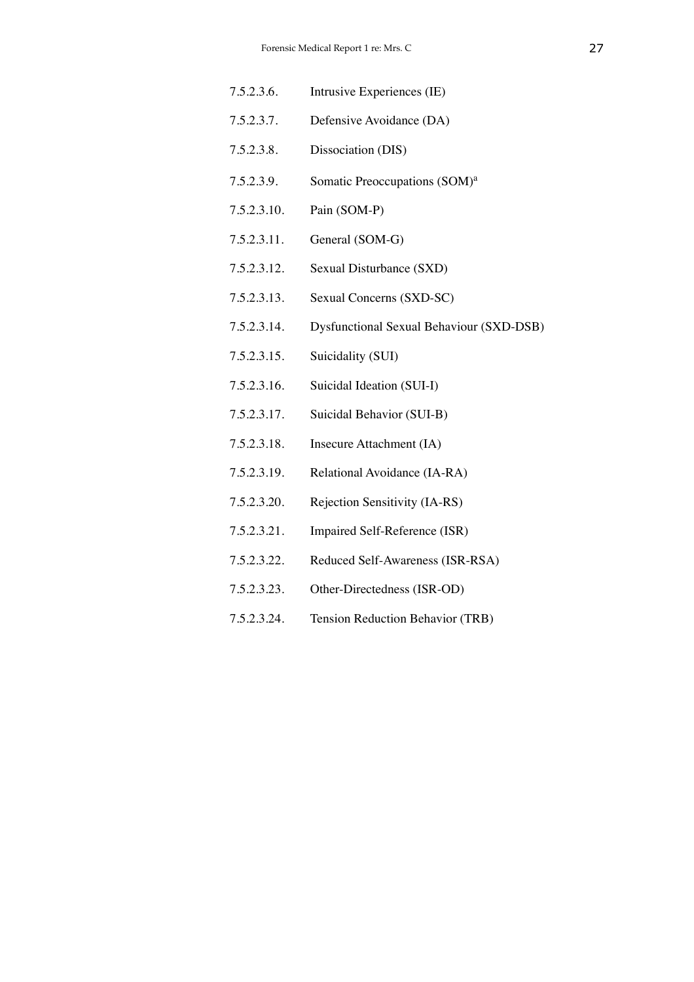| 7.5.2.3.6.  | Intrusive Experiences (IE)                |
|-------------|-------------------------------------------|
| 7.5.2.3.7.  | Defensive Avoidance (DA)                  |
| 7.5.2.3.8.  | Dissociation (DIS)                        |
| 7.5.2.3.9.  | Somatic Preoccupations (SOM) <sup>a</sup> |
| 7.5.2.3.10. | Pain (SOM-P)                              |
| 7.5.2.3.11. | General (SOM-G)                           |
| 7.5.2.3.12. | Sexual Disturbance (SXD)                  |
| 7.5.2.3.13. | Sexual Concerns (SXD-SC)                  |
| 7.5.2.3.14. | Dysfunctional Sexual Behaviour (SXD-DSB)  |
| 7.5.2.3.15. | Suicidality (SUI)                         |
| 7.5.2.3.16. | Suicidal Ideation (SUI-I)                 |
| 7.5.2.3.17. | Suicidal Behavior (SUI-B)                 |
| 7.5.2.3.18. | Insecure Attachment (IA)                  |
| 7.5.2.3.19. | Relational Avoidance (IA-RA)              |
| 7.5.2.3.20. | Rejection Sensitivity (IA-RS)             |
| 7.5.2.3.21. | Impaired Self-Reference (ISR)             |
| 7.5.2.3.22. | Reduced Self-Awareness (ISR-RSA)          |
| 7.5.2.3.23. | Other-Directedness (ISR-OD)               |
| 7.5.2.3.24. | Tension Reduction Behavior (TRB)          |
|             |                                           |